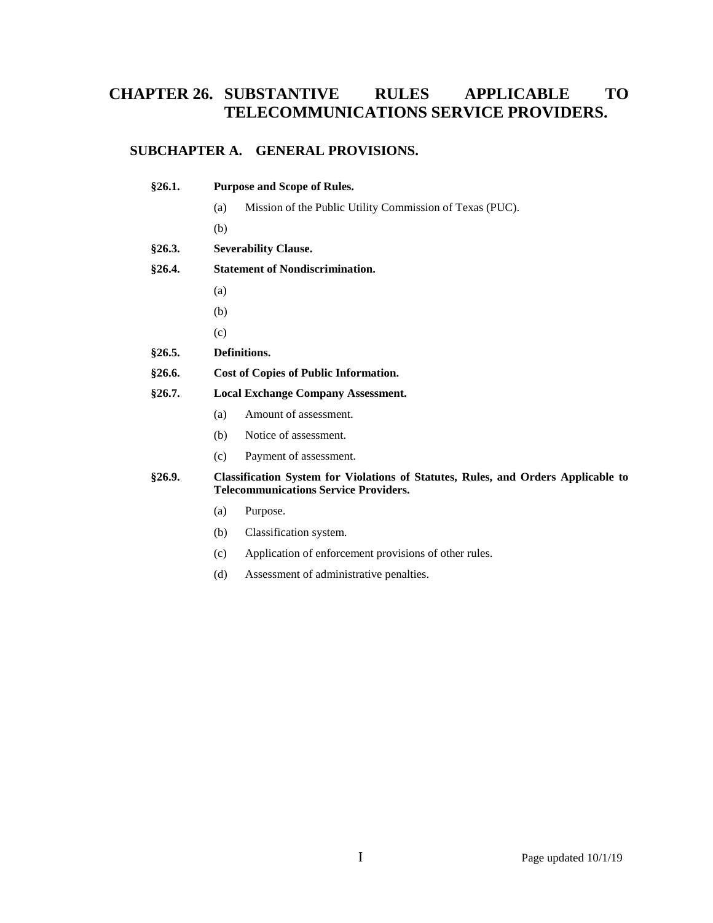# **CHAPTER 26. SUBSTANTIVE RULES APPLICABLE TO TELECOMMUNICATIONS SERVICE PROVIDERS.**

# **SUBCHAPTER A. GENERAL PROVISIONS.**

| §26.1.        | <b>Purpose and Scope of Rules.</b>                                                                                                       |  |  |  |
|---------------|------------------------------------------------------------------------------------------------------------------------------------------|--|--|--|
|               | Mission of the Public Utility Commission of Texas (PUC).<br>(a)                                                                          |  |  |  |
|               | (b)                                                                                                                                      |  |  |  |
| §26.3.        | <b>Severability Clause.</b>                                                                                                              |  |  |  |
| §26.4.        | <b>Statement of Nondiscrimination.</b>                                                                                                   |  |  |  |
|               | (a)                                                                                                                                      |  |  |  |
|               | (b)                                                                                                                                      |  |  |  |
|               | (c)                                                                                                                                      |  |  |  |
| §26.5.        | Definitions.                                                                                                                             |  |  |  |
| §26.6.        | <b>Cost of Copies of Public Information.</b>                                                                                             |  |  |  |
| §26.7.        | <b>Local Exchange Company Assessment.</b>                                                                                                |  |  |  |
|               | Amount of assessment.<br>(a)                                                                                                             |  |  |  |
|               | (b)<br>Notice of assessment.                                                                                                             |  |  |  |
|               | (c)<br>Payment of assessment.                                                                                                            |  |  |  |
| <b>§26.9.</b> | <b>Classification System for Violations of Statutes, Rules, and Orders Applicable to</b><br><b>Telecommunications Service Providers.</b> |  |  |  |
|               | Purpose.<br>(a)                                                                                                                          |  |  |  |

- (b) Classification system.
- (c) Application of enforcement provisions of other rules.
- (d) Assessment of administrative penalties.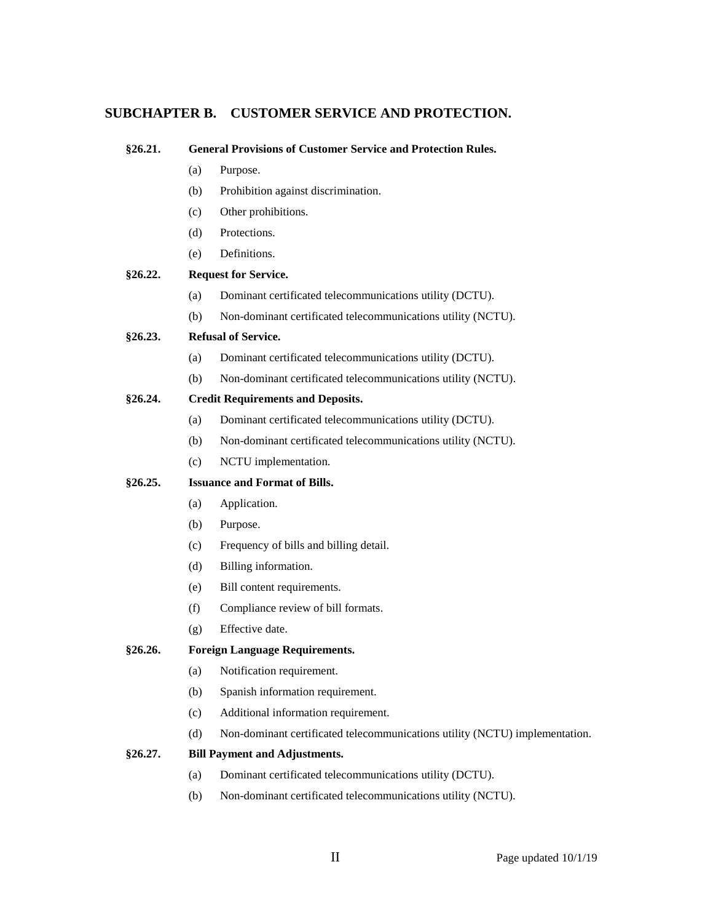# **SUBCHAPTER B. CUSTOMER SERVICE AND PROTECTION.**

| §26.21. |                                          | <b>General Provisions of Customer Service and Protection Rules.</b>         |  |  |  |
|---------|------------------------------------------|-----------------------------------------------------------------------------|--|--|--|
|         | (a)                                      | Purpose.                                                                    |  |  |  |
|         | (b)                                      | Prohibition against discrimination.                                         |  |  |  |
|         | (c)                                      | Other prohibitions.                                                         |  |  |  |
|         | (d)                                      | Protections.                                                                |  |  |  |
|         | (e)                                      | Definitions.                                                                |  |  |  |
| §26.22. |                                          | <b>Request for Service.</b>                                                 |  |  |  |
|         | (a)                                      | Dominant certificated telecommunications utility (DCTU).                    |  |  |  |
|         | (b)                                      | Non-dominant certificated telecommunications utility (NCTU).                |  |  |  |
| §26.23. |                                          | <b>Refusal of Service.</b>                                                  |  |  |  |
|         | (a)                                      | Dominant certificated telecommunications utility (DCTU).                    |  |  |  |
|         | (b)                                      | Non-dominant certificated telecommunications utility (NCTU).                |  |  |  |
| §26.24. | <b>Credit Requirements and Deposits.</b> |                                                                             |  |  |  |
|         | (a)                                      | Dominant certificated telecommunications utility (DCTU).                    |  |  |  |
|         | (b)                                      | Non-dominant certificated telecommunications utility (NCTU).                |  |  |  |
|         | (c)                                      | NCTU implementation.                                                        |  |  |  |
| §26.25. | <b>Issuance and Format of Bills.</b>     |                                                                             |  |  |  |
|         | (a)                                      | Application.                                                                |  |  |  |
|         | (b)                                      | Purpose.                                                                    |  |  |  |
|         | (c)                                      | Frequency of bills and billing detail.                                      |  |  |  |
|         | (d)                                      | Billing information.                                                        |  |  |  |
|         | (e)                                      | Bill content requirements.                                                  |  |  |  |
|         | (f)                                      | Compliance review of bill formats.                                          |  |  |  |
|         | (g)                                      | Effective date.                                                             |  |  |  |
| §26.26. | <b>Foreign Language Requirements.</b>    |                                                                             |  |  |  |
|         | (a)                                      | Notification requirement.                                                   |  |  |  |
|         | (b)                                      | Spanish information requirement.                                            |  |  |  |
|         | (c)                                      | Additional information requirement.                                         |  |  |  |
|         | (d)                                      | Non-dominant certificated telecommunications utility (NCTU) implementation. |  |  |  |
| §26.27. |                                          | <b>Bill Payment and Adjustments.</b>                                        |  |  |  |
|         | (a)                                      | Dominant certificated telecommunications utility (DCTU).                    |  |  |  |
|         |                                          |                                                                             |  |  |  |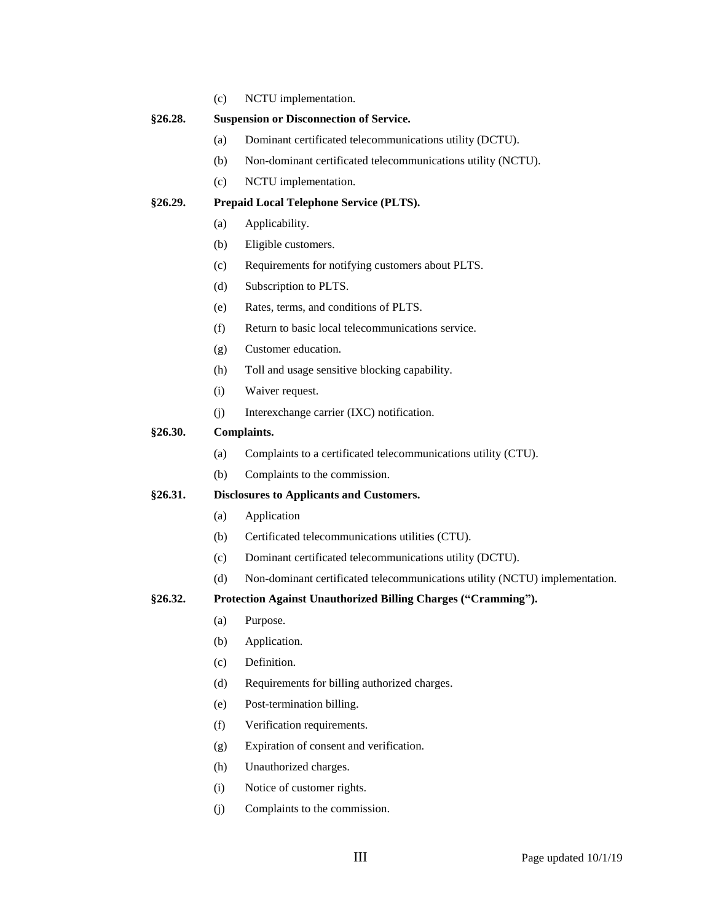(c) NCTU implementation.

#### **§26.28. Suspension or Disconnection of Service.**

- (a) Dominant certificated telecommunications utility (DCTU).
- (b) Non-dominant certificated telecommunications utility (NCTU).
- (c) NCTU implementation.

#### **§26.29. Prepaid Local Telephone Service (PLTS).**

- (a) Applicability.
- (b) Eligible customers.
- (c) Requirements for notifying customers about PLTS.
- (d) Subscription to PLTS.
- (e) Rates, terms, and conditions of PLTS.
- (f) Return to basic local telecommunications service.
- (g) Customer education.
- (h) Toll and usage sensitive blocking capability.
- (i) Waiver request.
- (j) Interexchange carrier (IXC) notification.

#### **§26.30. Complaints.**

- (a) Complaints to a certificated telecommunications utility (CTU).
- (b) Complaints to the commission.

#### **§26.31. Disclosures to Applicants and Customers.**

- (a) Application
- (b) Certificated telecommunications utilities (CTU).
- (c) Dominant certificated telecommunications utility (DCTU).
- (d) Non-dominant certificated telecommunications utility (NCTU) implementation.

#### **§26.32. Protection Against Unauthorized Billing Charges ("Cramming").**

- (a) Purpose.
- (b) Application.
- (c) Definition.
- (d) Requirements for billing authorized charges.
- (e) Post-termination billing.
- (f) Verification requirements.
- (g) Expiration of consent and verification.
- (h) Unauthorized charges.
- (i) Notice of customer rights.
- (j) Complaints to the commission.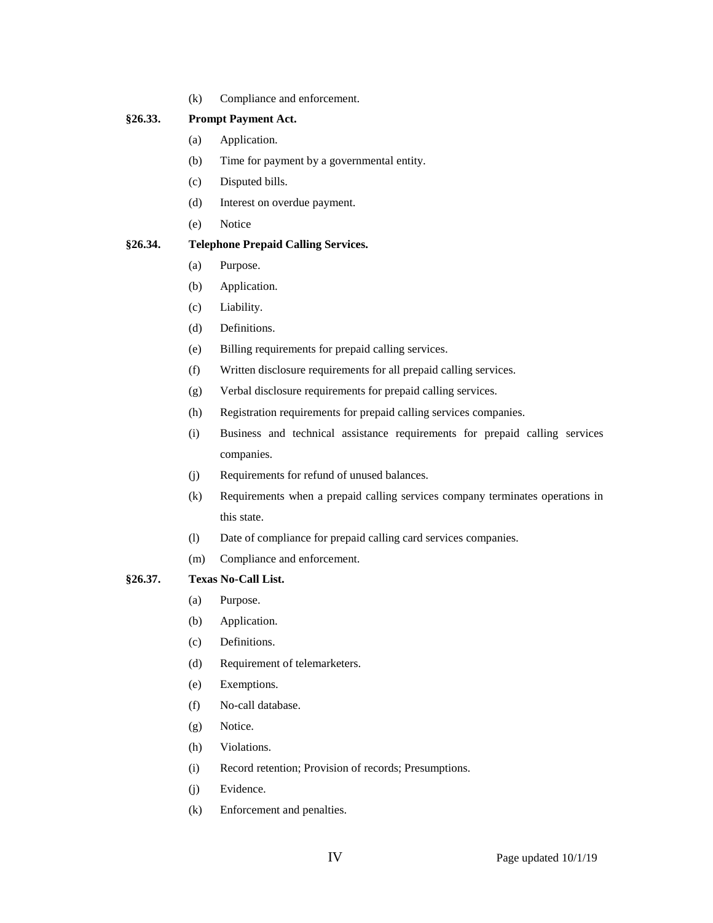(k) Compliance and enforcement.

## **§26.33. Prompt Payment Act.**

- (a) Application.
- (b) Time for payment by a governmental entity.
- (c) Disputed bills.
- (d) Interest on overdue payment.
- (e) Notice

## **§26.34. Telephone Prepaid Calling Services.**

- (a) Purpose.
- (b) Application.
- (c) Liability.
- (d) Definitions.
- (e) Billing requirements for prepaid calling services.
- (f) Written disclosure requirements for all prepaid calling services.
- (g) Verbal disclosure requirements for prepaid calling services.
- (h) Registration requirements for prepaid calling services companies.
- (i) Business and technical assistance requirements for prepaid calling services companies.
- (j) Requirements for refund of unused balances.
- (k) Requirements when a prepaid calling services company terminates operations in this state.
- (l) Date of compliance for prepaid calling card services companies.
- (m) Compliance and enforcement.

## **§26.37. Texas No-Call List.**

- (a) Purpose.
- (b) Application.
- (c) Definitions.
- (d) Requirement of telemarketers.
- (e) Exemptions.
- (f) No-call database.
- (g) Notice.
- (h) Violations.
- (i) Record retention; Provision of records; Presumptions.
- (j) Evidence.
- (k) Enforcement and penalties.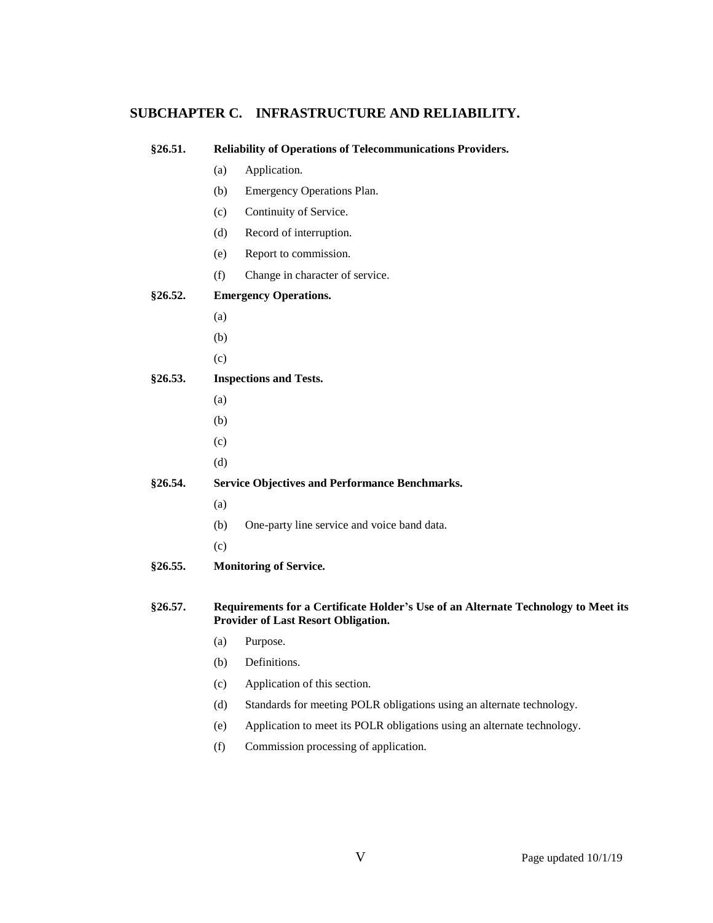## **SUBCHAPTER C. INFRASTRUCTURE AND RELIABILITY.**

# **§26.51. Reliability of Operations of Telecommunications Providers.** (a) Application. (b) Emergency Operations Plan. (c) Continuity of Service. (d) Record of interruption. (e) Report to commission. (f) Change in character of service. **§26.52. Emergency Operations.** (a) (b) (c) **§26.53. Inspections and Tests.** (a) (b) (c) (d) **§26.54. Service Objectives and Performance Benchmarks.** (a) (b) One-party line service and voice band data. (c) **§26.55. Monitoring of Service. §26.57. Requirements for a Certificate Holder's Use of an Alternate Technology to Meet its**

**Provider of Last Resort Obligation.** 

- (a) Purpose.
- (b) Definitions.
- (c) Application of this section.
- (d) Standards for meeting POLR obligations using an alternate technology.
- (e) Application to meet its POLR obligations using an alternate technology.
- (f) Commission processing of application.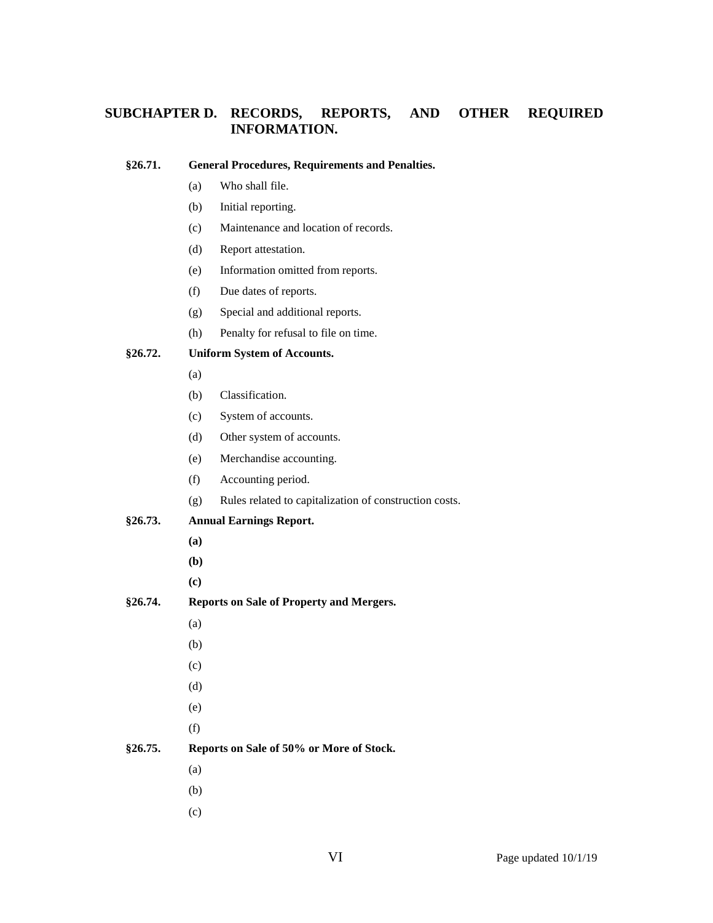# **SUBCHAPTER D. RECORDS, REPORTS, AND OTHER REQUIRED INFORMATION.**

#### **§26.71. General Procedures, Requirements and Penalties.**

- (a) Who shall file.
- (b) Initial reporting.
- (c) Maintenance and location of records.
- (d) Report attestation.
- (e) Information omitted from reports.
- (f) Due dates of reports.
- (g) Special and additional reports.
- (h) Penalty for refusal to file on time.

## **§26.72. Uniform System of Accounts.**

- (a)
- (b) Classification.
- (c) System of accounts.
- (d) Other system of accounts.
- (e) Merchandise accounting.
- (f) Accounting period.
- (g) Rules related to capitalization of construction costs.

## **§26.73. Annual Earnings Report.**

- **(a)**
- **(b)**
- **(c)**
- **§26.74. Reports on Sale of Property and Mergers.**
	- (a)
	- (b)
	- (c)
	- (d)
	- (e)
	- (f)

## **§26.75. Reports on Sale of 50% or More of Stock.**

- (a)
- (b)
- (c)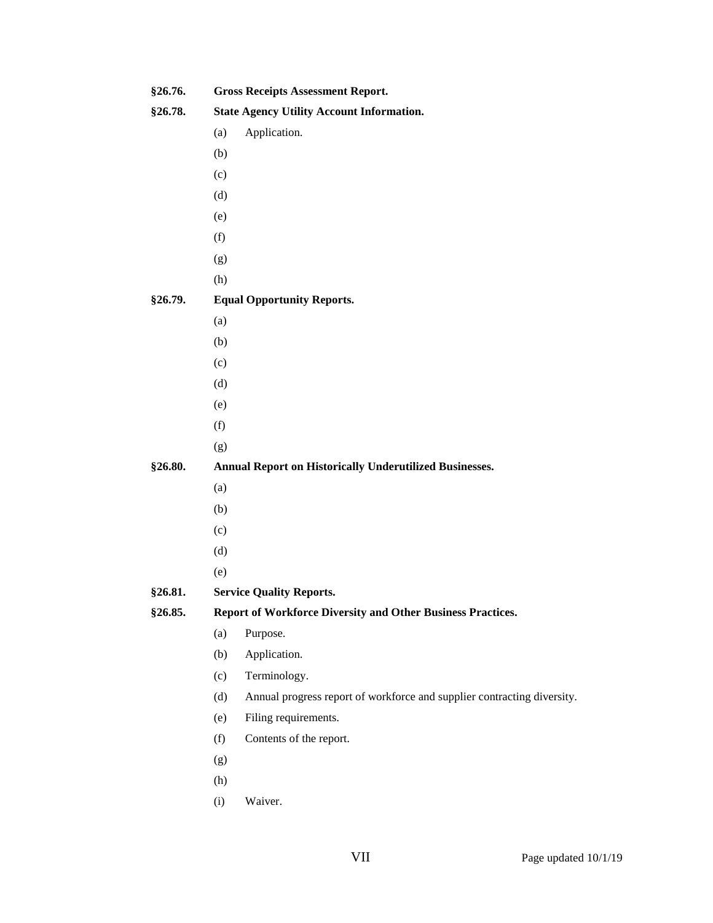| §26.76. |                                                             | <b>Gross Receipts Assessment Report.</b>                                |  |  |  |
|---------|-------------------------------------------------------------|-------------------------------------------------------------------------|--|--|--|
| §26.78. |                                                             | <b>State Agency Utility Account Information.</b>                        |  |  |  |
|         | (a)                                                         | Application.                                                            |  |  |  |
|         | (b)                                                         |                                                                         |  |  |  |
|         | (c)                                                         |                                                                         |  |  |  |
|         | (d)                                                         |                                                                         |  |  |  |
|         | (e)                                                         |                                                                         |  |  |  |
|         | (f)                                                         |                                                                         |  |  |  |
|         | (g)                                                         |                                                                         |  |  |  |
|         | (h)                                                         |                                                                         |  |  |  |
| §26.79. |                                                             | <b>Equal Opportunity Reports.</b>                                       |  |  |  |
|         | (a)                                                         |                                                                         |  |  |  |
|         | (b)                                                         |                                                                         |  |  |  |
|         | (c)                                                         |                                                                         |  |  |  |
|         | (d)                                                         |                                                                         |  |  |  |
|         | (e)                                                         |                                                                         |  |  |  |
|         | (f)                                                         |                                                                         |  |  |  |
|         | (g)                                                         |                                                                         |  |  |  |
| §26.80. |                                                             | <b>Annual Report on Historically Underutilized Businesses.</b>          |  |  |  |
|         | (a)                                                         |                                                                         |  |  |  |
|         | (b)                                                         |                                                                         |  |  |  |
|         | (c)                                                         |                                                                         |  |  |  |
|         | (d)                                                         |                                                                         |  |  |  |
|         | (e)                                                         |                                                                         |  |  |  |
| §26.81. | <b>Service Quality Reports.</b>                             |                                                                         |  |  |  |
| §26.85. | Report of Workforce Diversity and Other Business Practices. |                                                                         |  |  |  |
|         | (a)                                                         | Purpose.                                                                |  |  |  |
|         | (b)                                                         | Application.                                                            |  |  |  |
|         | (c)                                                         | Terminology.                                                            |  |  |  |
|         | (d)                                                         | Annual progress report of workforce and supplier contracting diversity. |  |  |  |
|         | (e)                                                         | Filing requirements.                                                    |  |  |  |
|         | (f)                                                         | Contents of the report.                                                 |  |  |  |
|         | (g)                                                         |                                                                         |  |  |  |
|         | (h)                                                         |                                                                         |  |  |  |
|         | (i)                                                         | Waiver.                                                                 |  |  |  |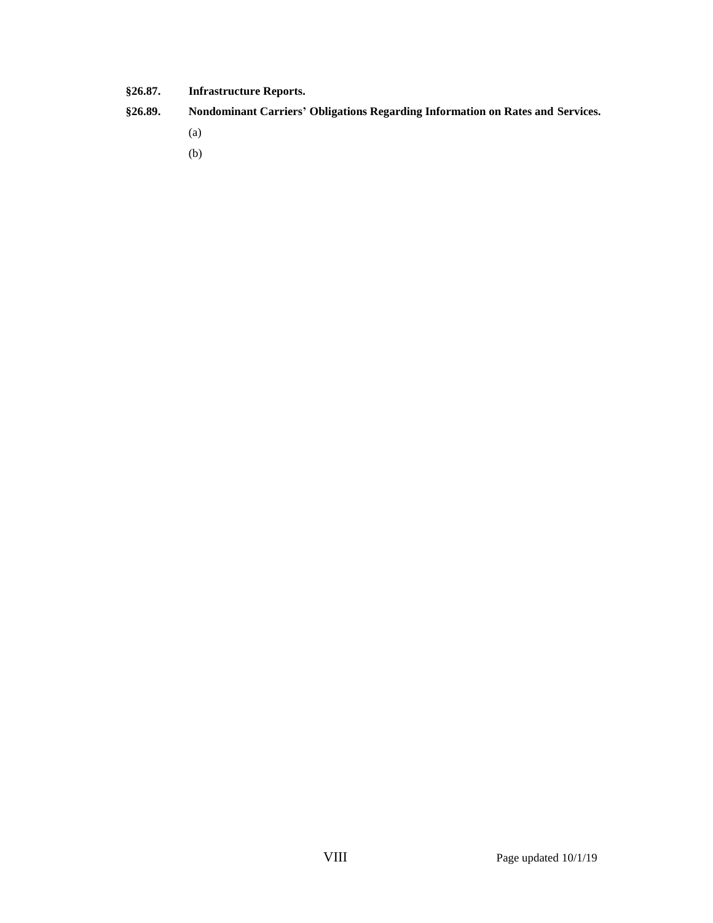- **§26.87. Infrastructure Reports.**
- **§26.89. Nondominant Carriers' Obligations Regarding Information on Rates and Services.**
	- (a)
	- (b)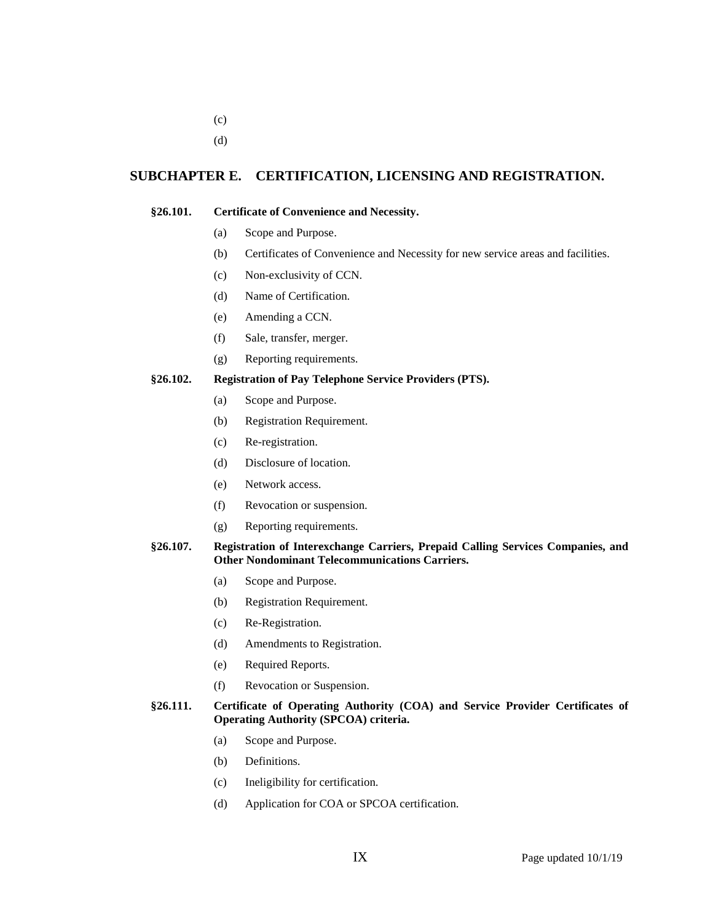- (c)
- (d)

## **SUBCHAPTER E. CERTIFICATION, LICENSING AND REGISTRATION.**

#### **§26.101. Certificate of Convenience and Necessity.**

- (a) Scope and Purpose.
- (b) Certificates of Convenience and Necessity for new service areas and facilities.
- (c) Non-exclusivity of CCN.
- (d) Name of Certification.
- (e) Amending a CCN.
- (f) Sale, transfer, merger.
- (g) Reporting requirements.

## **§26.102. Registration of Pay Telephone Service Providers (PTS).**

- (a) Scope and Purpose.
- (b) Registration Requirement.
- (c) Re-registration.
- (d) Disclosure of location.
- (e) Network access.
- (f) Revocation or suspension.
- (g) Reporting requirements.

### **§26.107. Registration of Interexchange Carriers, Prepaid Calling Services Companies, and Other Nondominant Telecommunications Carriers.**

- (a) Scope and Purpose.
- (b) Registration Requirement.
- (c) Re-Registration.
- (d) Amendments to Registration.
- (e) Required Reports.
- (f) Revocation or Suspension.

## **§26.111. Certificate of Operating Authority (COA) and Service Provider Certificates of Operating Authority (SPCOA) criteria.**

- (a) Scope and Purpose.
- (b) Definitions.
- (c) Ineligibility for certification.
- (d) Application for COA or SPCOA certification.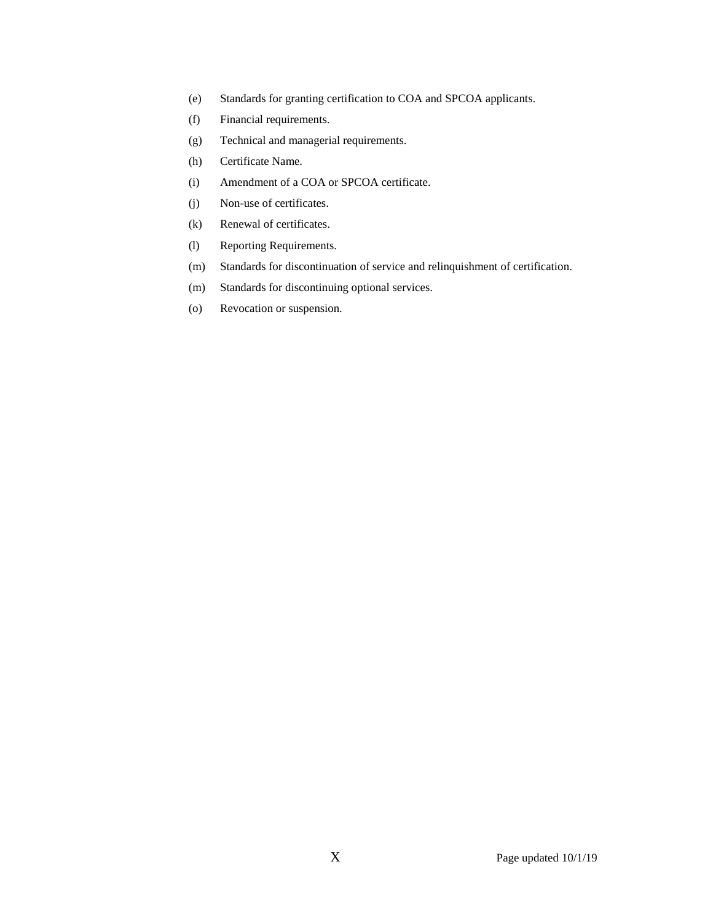- (e) Standards for granting certification to COA and SPCOA applicants.
- (f) Financial requirements.
- (g) Technical and managerial requirements.
- (h) Certificate Name.
- (i) Amendment of a COA or SPCOA certificate.
- (j) Non-use of certificates.
- (k) Renewal of certificates.
- (l) Reporting Requirements.
- (m) Standards for discontinuation of service and relinquishment of certification.
- (m) Standards for discontinuing optional services.
- (o) Revocation or suspension.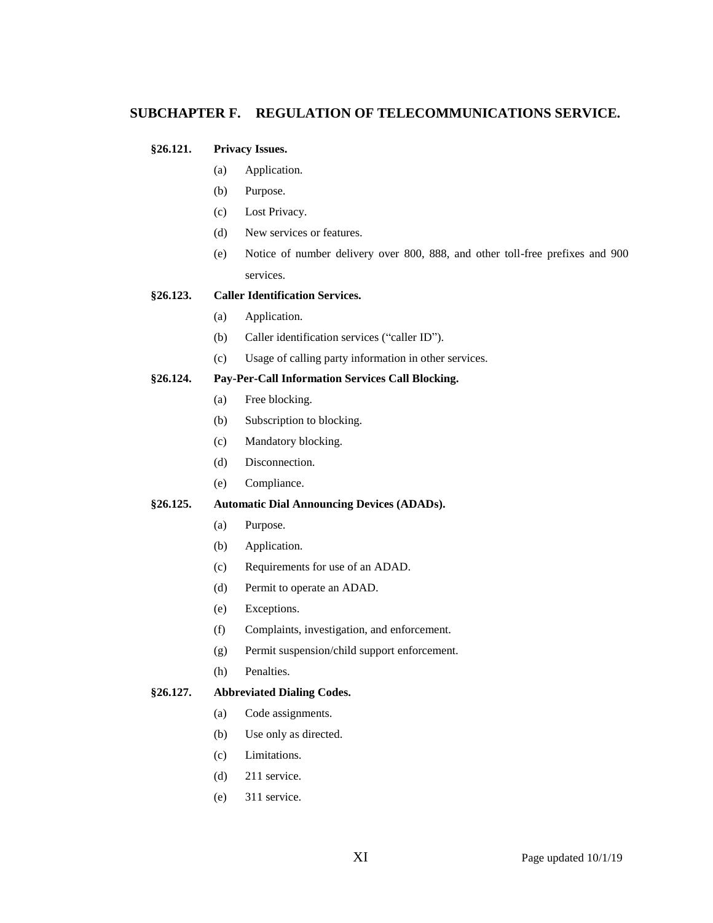## **SUBCHAPTER F. REGULATION OF TELECOMMUNICATIONS SERVICE.**

## **§26.121. Privacy Issues.**

- (a) Application.
- (b) Purpose.
- (c) Lost Privacy.
- (d) New services or features.
- (e) Notice of number delivery over 800, 888, and other toll-free prefixes and 900 services.

## **§26.123. Caller Identification Services.**

- (a) Application.
- (b) Caller identification services ("caller ID").
- (c) Usage of calling party information in other services.

## **§26.124. Pay-Per-Call Information Services Call Blocking.**

- (a) Free blocking.
- (b) Subscription to blocking.
- (c) Mandatory blocking.
- (d) Disconnection.
- (e) Compliance.

#### **§26.125. Automatic Dial Announcing Devices (ADADs).**

- (a) Purpose.
- (b) Application.
- (c) Requirements for use of an ADAD.
- (d) Permit to operate an ADAD.
- (e) Exceptions.
- (f) Complaints, investigation, and enforcement.
- (g) Permit suspension/child support enforcement.
- (h) Penalties.

## **§26.127. Abbreviated Dialing Codes.**

- (a) Code assignments.
- (b) Use only as directed.
- (c) Limitations.
- (d) 211 service.
- (e) 311 service.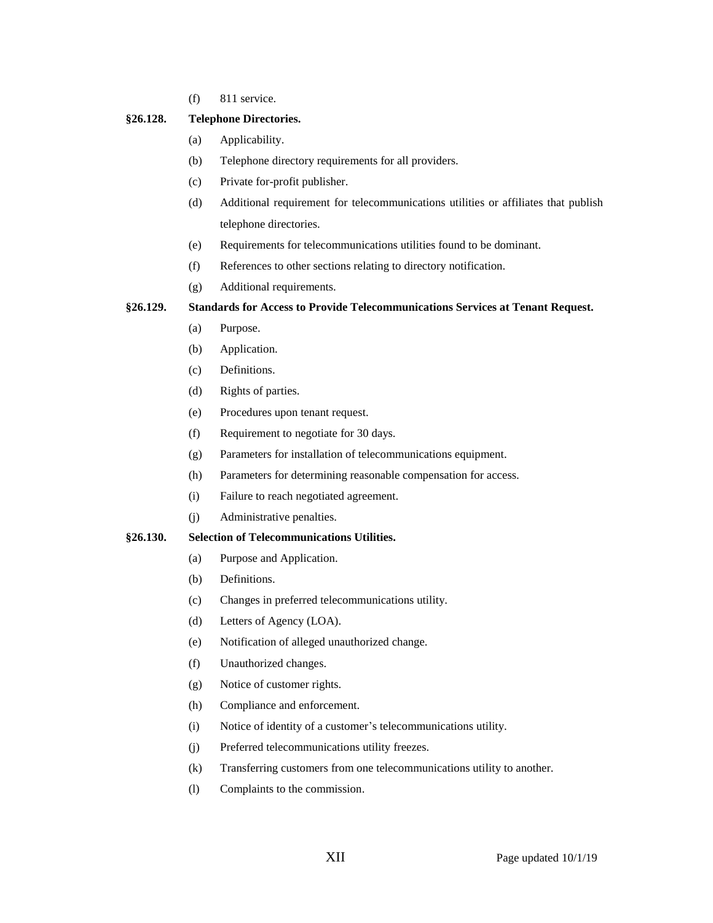(f) 811 service.

#### **§26.128. Telephone Directories.**

- (a) Applicability.
- (b) Telephone directory requirements for all providers.
- (c) Private for-profit publisher.
- (d) Additional requirement for telecommunications utilities or affiliates that publish telephone directories.
- (e) Requirements for telecommunications utilities found to be dominant.
- (f) References to other sections relating to directory notification.
- (g) Additional requirements.

#### **§26.129. Standards for Access to Provide Telecommunications Services at Tenant Request.**

- (a) Purpose.
- (b) Application.
- (c) Definitions.
- (d) Rights of parties.
- (e) Procedures upon tenant request.
- (f) Requirement to negotiate for 30 days.
- (g) Parameters for installation of telecommunications equipment.
- (h) Parameters for determining reasonable compensation for access.
- (i) Failure to reach negotiated agreement.
- (j) Administrative penalties.

#### **§26.130. Selection of Telecommunications Utilities.**

- (a) Purpose and Application.
- (b) Definitions.
- (c) Changes in preferred telecommunications utility.
- (d) Letters of Agency (LOA).
- (e) Notification of alleged unauthorized change.
- (f) Unauthorized changes.
- (g) Notice of customer rights.
- (h) Compliance and enforcement.
- (i) Notice of identity of a customer's telecommunications utility.
- (j) Preferred telecommunications utility freezes.
- (k) Transferring customers from one telecommunications utility to another.
- (l) Complaints to the commission.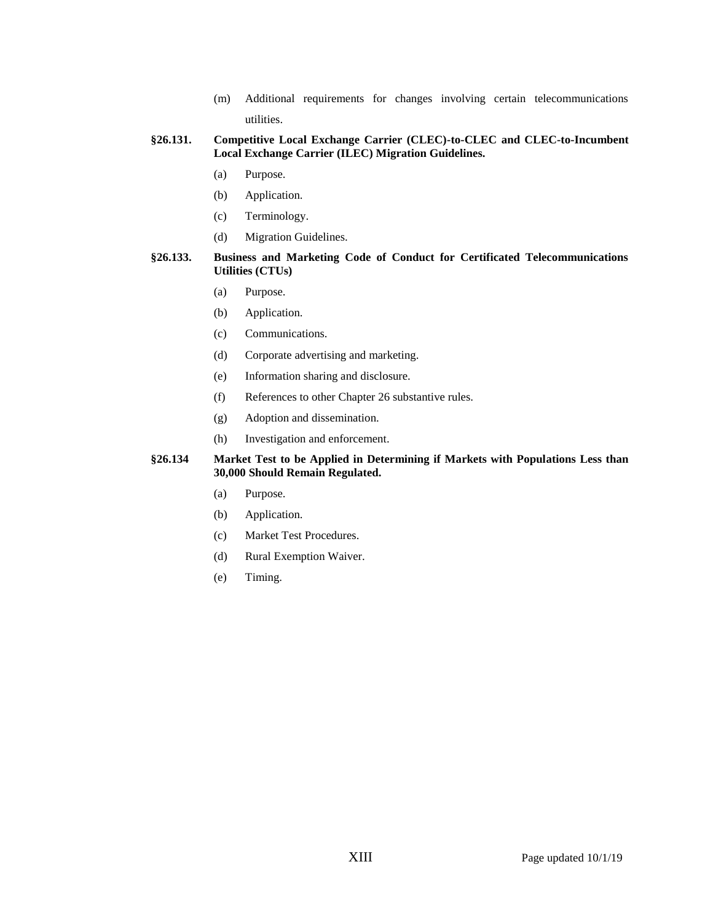(m) Additional requirements for changes involving certain telecommunications utilities.

## **§26.131. Competitive Local Exchange Carrier (CLEC)-to-CLEC and CLEC-to-Incumbent Local Exchange Carrier (ILEC) Migration Guidelines.**

- (a) Purpose.
- (b) Application.
- (c) Terminology.
- (d) Migration Guidelines.

#### **§26.133. Business and Marketing Code of Conduct for Certificated Telecommunications Utilities (CTUs)**

- (a) Purpose.
- (b) Application.
- (c) Communications.
- (d) Corporate advertising and marketing.
- (e) Information sharing and disclosure.
- (f) References to other Chapter 26 substantive rules.
- (g) Adoption and dissemination.
- (h) Investigation and enforcement.

#### **§26.134 Market Test to be Applied in Determining if Markets with Populations Less than 30,000 Should Remain Regulated.**

- (a) Purpose.
- (b) Application.
- (c) Market Test Procedures.
- (d) Rural Exemption Waiver.
- (e) Timing.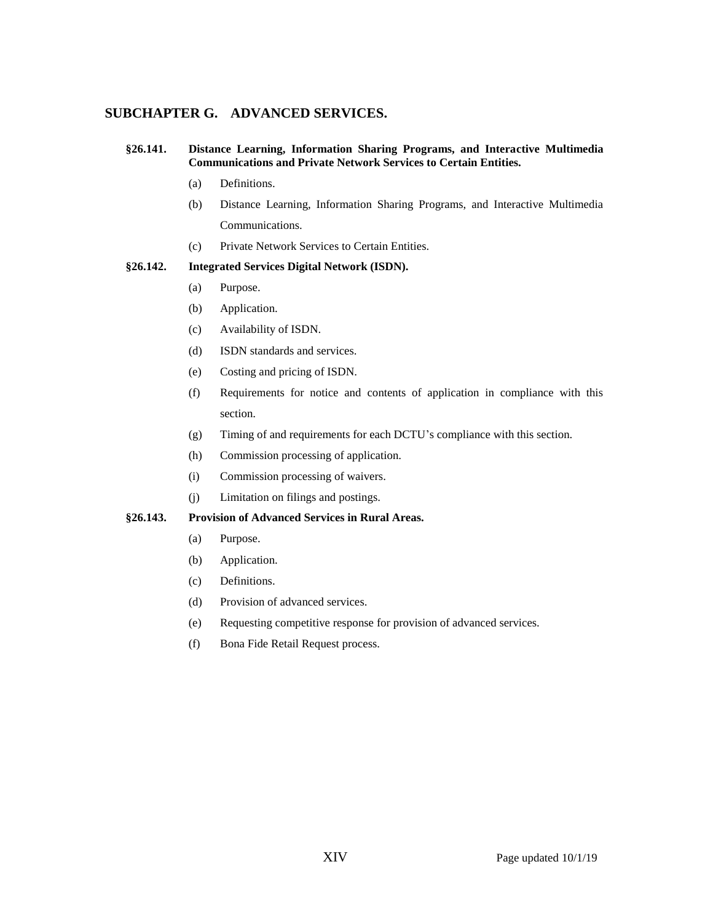## **SUBCHAPTER G. ADVANCED SERVICES.**

#### **§26.141. Distance Learning, Information Sharing Programs, and Interactive Multimedia Communications and Private Network Services to Certain Entities.**

- (a) Definitions.
- (b) Distance Learning, Information Sharing Programs, and Interactive Multimedia Communications.
- (c) Private Network Services to Certain Entities.

#### **§26.142. Integrated Services Digital Network (ISDN).**

- (a) Purpose.
- (b) Application.
- (c) Availability of ISDN.
- (d) ISDN standards and services.
- (e) Costing and pricing of ISDN.
- (f) Requirements for notice and contents of application in compliance with this section.
- (g) Timing of and requirements for each DCTU's compliance with this section.
- (h) Commission processing of application.
- (i) Commission processing of waivers.
- (j) Limitation on filings and postings.

## **§26.143. Provision of Advanced Services in Rural Areas.**

- (a) Purpose.
- (b) Application.
- (c) Definitions.
- (d) Provision of advanced services.
- (e) Requesting competitive response for provision of advanced services.
- (f) Bona Fide Retail Request process.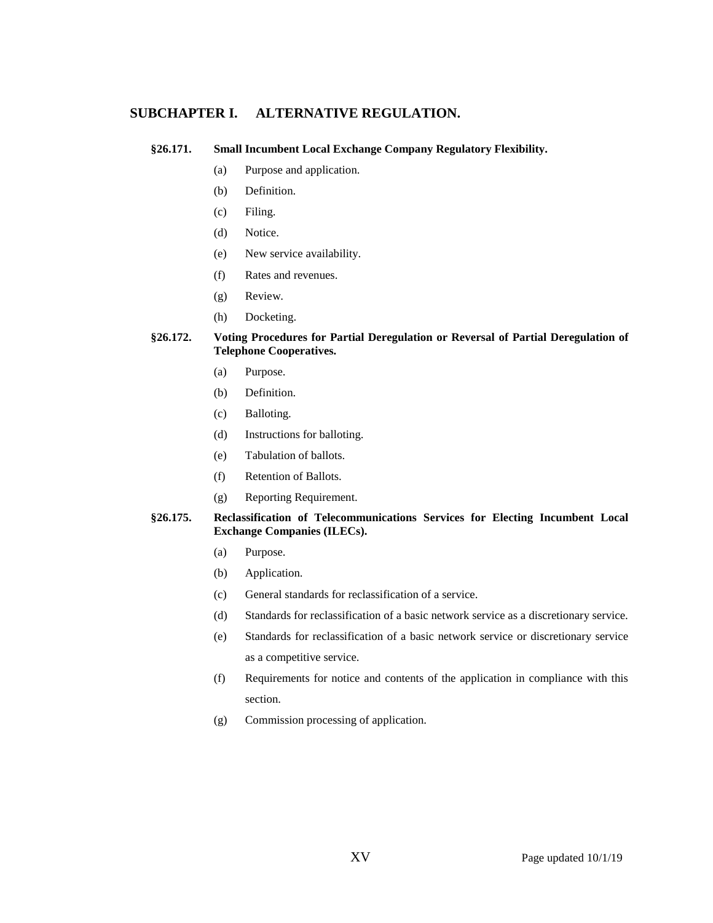## **SUBCHAPTER I. ALTERNATIVE REGULATION.**

#### **§26.171. Small Incumbent Local Exchange Company Regulatory Flexibility.**

- (a) Purpose and application.
- (b) Definition.
- (c) Filing.
- (d) Notice.
- (e) New service availability.
- (f) Rates and revenues.
- (g) Review.
- (h) Docketing.

## **§26.172. Voting Procedures for Partial Deregulation or Reversal of Partial Deregulation of Telephone Cooperatives.**

- (a) Purpose.
- (b) Definition.
- (c) Balloting.
- (d) Instructions for balloting.
- (e) Tabulation of ballots.
- (f) Retention of Ballots.
- (g) Reporting Requirement.

#### **§26.175. Reclassification of Telecommunications Services for Electing Incumbent Local Exchange Companies (ILECs).**

- (a) Purpose.
- (b) Application.
- (c) General standards for reclassification of a service.
- (d) Standards for reclassification of a basic network service as a discretionary service.
- (e) Standards for reclassification of a basic network service or discretionary service as a competitive service.
- (f) Requirements for notice and contents of the application in compliance with this section.
- (g) Commission processing of application.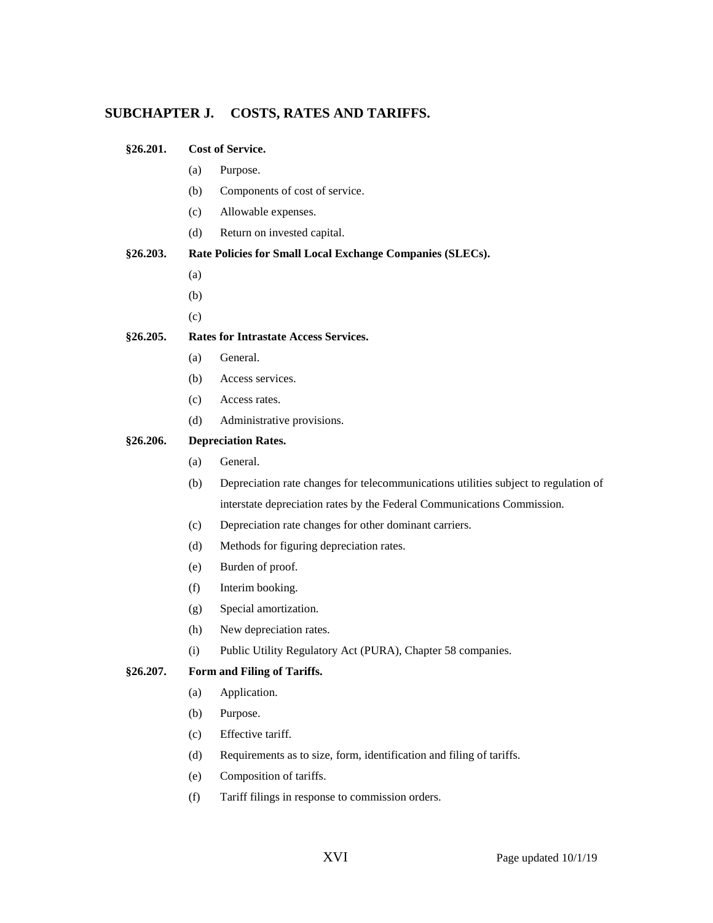# **SUBCHAPTER J. COSTS, RATES AND TARIFFS.**

| §26.201. | <b>Cost of Service.</b> |                                                                                     |
|----------|-------------------------|-------------------------------------------------------------------------------------|
|          | (a)                     | Purpose.                                                                            |
|          | (b)                     | Components of cost of service.                                                      |
|          | (c)                     | Allowable expenses.                                                                 |
|          | (d)                     | Return on invested capital.                                                         |
| §26.203. |                         | Rate Policies for Small Local Exchange Companies (SLECs).                           |
|          | (a)                     |                                                                                     |
|          | (b)                     |                                                                                     |
|          | (c)                     |                                                                                     |
| §26.205. |                         | <b>Rates for Intrastate Access Services.</b>                                        |
|          | (a)                     | General.                                                                            |
|          | (b)                     | Access services.                                                                    |
|          | (c)                     | Access rates.                                                                       |
|          | (d)                     | Administrative provisions.                                                          |
| §26.206. |                         | <b>Depreciation Rates.</b>                                                          |
|          | (a)                     | General.                                                                            |
|          | (b)                     | Depreciation rate changes for telecommunications utilities subject to regulation of |
|          |                         | interstate depreciation rates by the Federal Communications Commission.             |
|          | (c)                     | Depreciation rate changes for other dominant carriers.                              |
|          | (d)                     | Methods for figuring depreciation rates.                                            |
|          | (e)                     | Burden of proof.                                                                    |
|          | (f)                     | Interim booking.                                                                    |
|          | (g)                     | Special amortization.                                                               |
|          | (h)                     | New depreciation rates.                                                             |
|          | (i)                     | Public Utility Regulatory Act (PURA), Chapter 58 companies.                         |
| §26.207. |                         | Form and Filing of Tariffs.                                                         |
|          | (a)                     | Application.                                                                        |
|          | (b)                     | Purpose.                                                                            |
|          | (c)                     | Effective tariff.                                                                   |
|          | (d)                     | Requirements as to size, form, identification and filing of tariffs.                |
|          | (e)                     | Composition of tariffs.                                                             |
|          | (f)                     | Tariff filings in response to commission orders.                                    |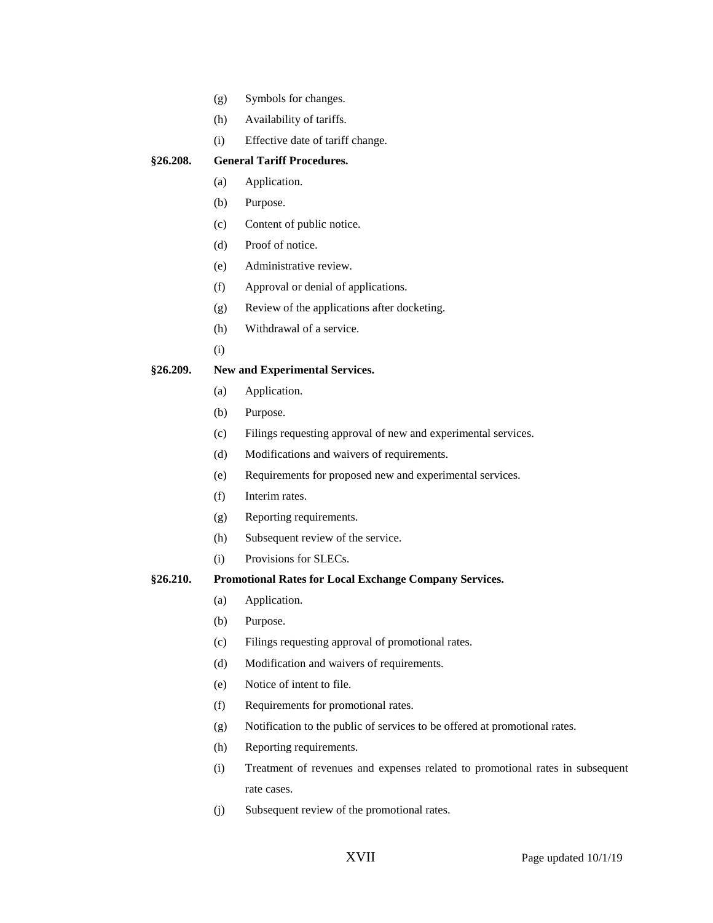- (g) Symbols for changes.
- (h) Availability of tariffs.
- (i) Effective date of tariff change.

## **§26.208. General Tariff Procedures.**

- (a) Application.
- (b) Purpose.
- (c) Content of public notice.
- (d) Proof of notice.
- (e) Administrative review.
- (f) Approval or denial of applications.
- (g) Review of the applications after docketing.
- (h) Withdrawal of a service.
- (i)

#### **§26.209. New and Experimental Services.**

- (a) Application.
- (b) Purpose.
- (c) Filings requesting approval of new and experimental services.
- (d) Modifications and waivers of requirements.
- (e) Requirements for proposed new and experimental services.
- (f) Interim rates.
- (g) Reporting requirements.
- (h) Subsequent review of the service.
- (i) Provisions for SLECs.

## **§26.210. Promotional Rates for Local Exchange Company Services.**

- (a) Application.
- (b) Purpose.
- (c) Filings requesting approval of promotional rates.
- (d) Modification and waivers of requirements.
- (e) Notice of intent to file.
- (f) Requirements for promotional rates.
- (g) Notification to the public of services to be offered at promotional rates.
- (h) Reporting requirements.
- (i) Treatment of revenues and expenses related to promotional rates in subsequent rate cases.
- (j) Subsequent review of the promotional rates.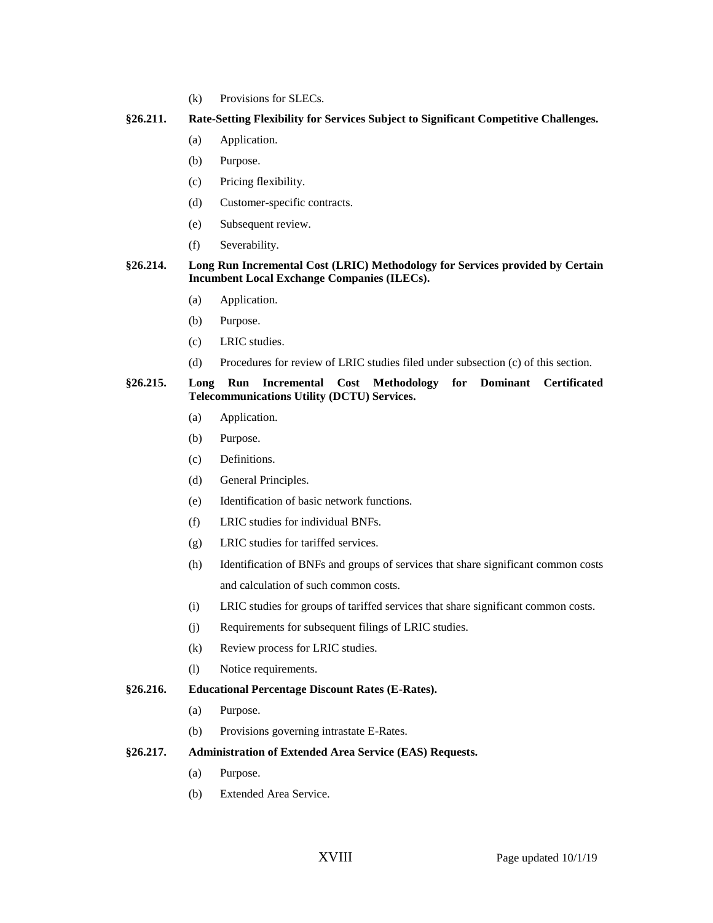(k) Provisions for SLECs.

#### **§26.211. Rate-Setting Flexibility for Services Subject to Significant Competitive Challenges.**

- (a) Application.
- (b) Purpose.
- (c) Pricing flexibility.
- (d) Customer-specific contracts.
- (e) Subsequent review.
- (f) Severability.

## **§26.214. Long Run Incremental Cost (LRIC) Methodology for Services provided by Certain Incumbent Local Exchange Companies (ILECs).**

- (a) Application.
- (b) Purpose.
- (c) LRIC studies.
- (d) Procedures for review of LRIC studies filed under subsection (c) of this section.

#### **§26.215. Long Run Incremental Cost Methodology for Dominant Certificated Telecommunications Utility (DCTU) Services.**

- (a) Application.
- (b) Purpose.
- (c) Definitions.
- (d) General Principles.
- (e) Identification of basic network functions.
- (f) LRIC studies for individual BNFs.
- (g) LRIC studies for tariffed services.
- (h) Identification of BNFs and groups of services that share significant common costs and calculation of such common costs.
- (i) LRIC studies for groups of tariffed services that share significant common costs.
- (j) Requirements for subsequent filings of LRIC studies.
- (k) Review process for LRIC studies.
- (l) Notice requirements.

#### **§26.216. Educational Percentage Discount Rates (E-Rates).**

- (a) Purpose.
- (b) Provisions governing intrastate E-Rates.
- **§26.217. Administration of Extended Area Service (EAS) Requests.**
	- (a) Purpose.
	- (b) Extended Area Service.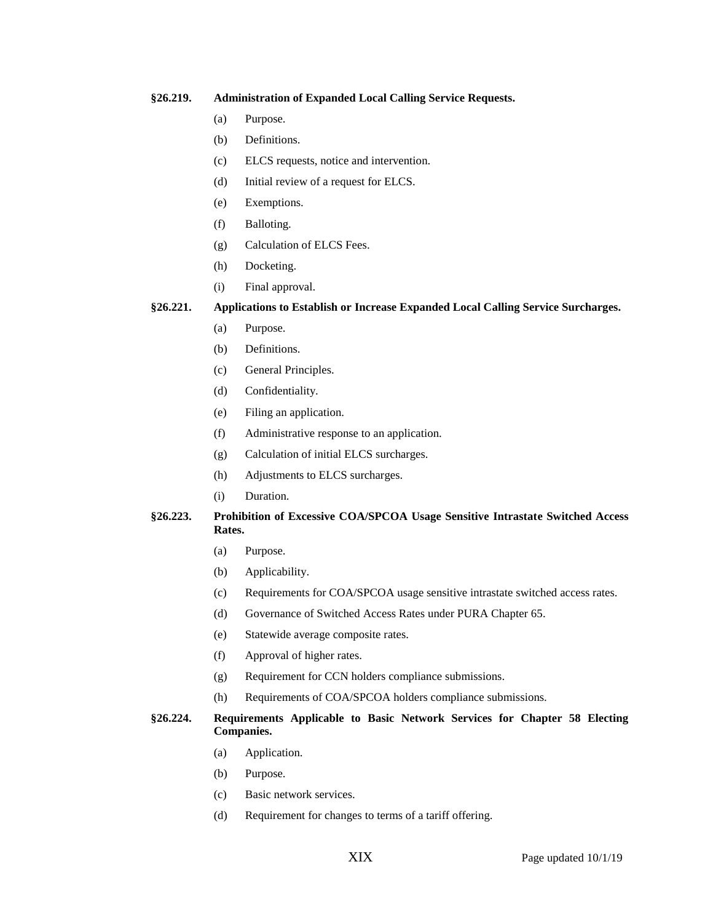#### **§26.219. Administration of Expanded Local Calling Service Requests.**

- (a) Purpose.
- (b) Definitions.
- (c) ELCS requests, notice and intervention.
- (d) Initial review of a request for ELCS.
- (e) Exemptions.
- (f) Balloting.
- (g) Calculation of ELCS Fees.
- (h) Docketing.
- (i) Final approval.

**§26.221. Applications to Establish or Increase Expanded Local Calling Service Surcharges.**

- (a) Purpose.
- (b) Definitions.
- (c) General Principles.
- (d) Confidentiality.
- (e) Filing an application.
- (f) Administrative response to an application.
- (g) Calculation of initial ELCS surcharges.
- (h) Adjustments to ELCS surcharges.
- (i) Duration.

## **§26.223. Prohibition of Excessive COA/SPCOA Usage Sensitive Intrastate Switched Access Rates.**

- (a) Purpose.
- (b) Applicability.
- (c) Requirements for COA/SPCOA usage sensitive intrastate switched access rates.
- (d) Governance of Switched Access Rates under PURA Chapter 65.
- (e) Statewide average composite rates.
- (f) Approval of higher rates.
- (g) Requirement for CCN holders compliance submissions.
- (h) Requirements of COA/SPCOA holders compliance submissions.

## **§26.224. Requirements Applicable to Basic Network Services for Chapter 58 Electing Companies.**

- (a) Application.
- (b) Purpose.
- (c) Basic network services.
- (d) Requirement for changes to terms of a tariff offering.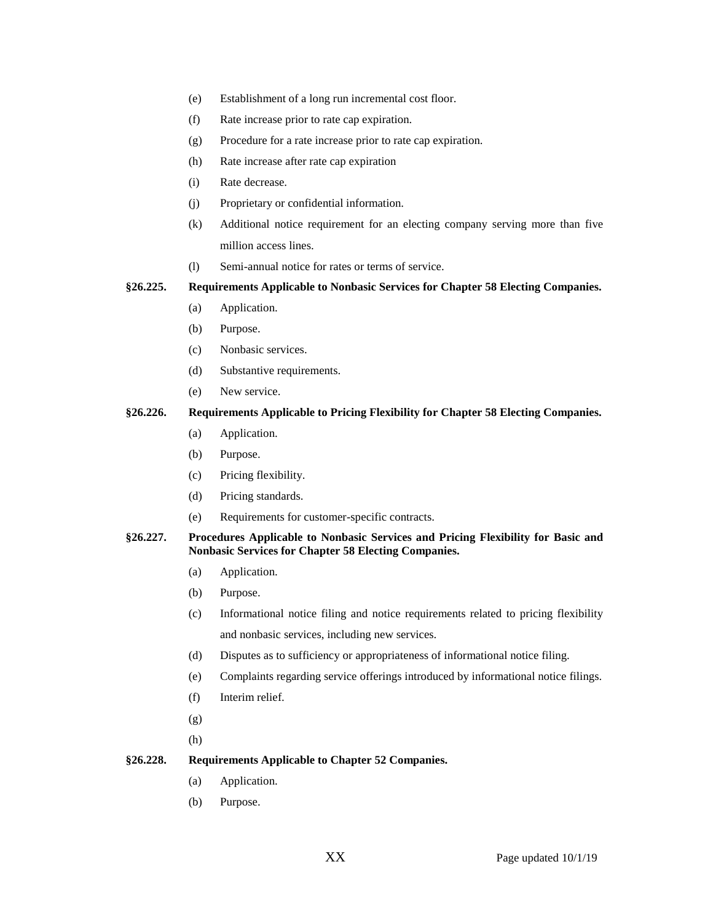- (e) Establishment of a long run incremental cost floor.
- (f) Rate increase prior to rate cap expiration.
- (g) Procedure for a rate increase prior to rate cap expiration.
- (h) Rate increase after rate cap expiration
- (i) Rate decrease.
- (j) Proprietary or confidential information.
- (k) Additional notice requirement for an electing company serving more than five million access lines.
- (l) Semi-annual notice for rates or terms of service.

**§26.225. Requirements Applicable to Nonbasic Services for Chapter 58 Electing Companies.**

- (a) Application.
- (b) Purpose.
- (c) Nonbasic services.
- (d) Substantive requirements.
- (e) New service.

## **§26.226. Requirements Applicable to Pricing Flexibility for Chapter 58 Electing Companies.**

- (a) Application.
- (b) Purpose.
- (c) Pricing flexibility.
- (d) Pricing standards.
- (e) Requirements for customer-specific contracts.

**§26.227. Procedures Applicable to Nonbasic Services and Pricing Flexibility for Basic and Nonbasic Services for Chapter 58 Electing Companies.**

- (a) Application.
- (b) Purpose.
- (c) Informational notice filing and notice requirements related to pricing flexibility and nonbasic services, including new services.
- (d) Disputes as to sufficiency or appropriateness of informational notice filing.
- (e) Complaints regarding service offerings introduced by informational notice filings.
- (f) Interim relief.
- (g)
- (h)

## **§26.228. Requirements Applicable to Chapter 52 Companies.**

- (a) Application.
- (b) Purpose.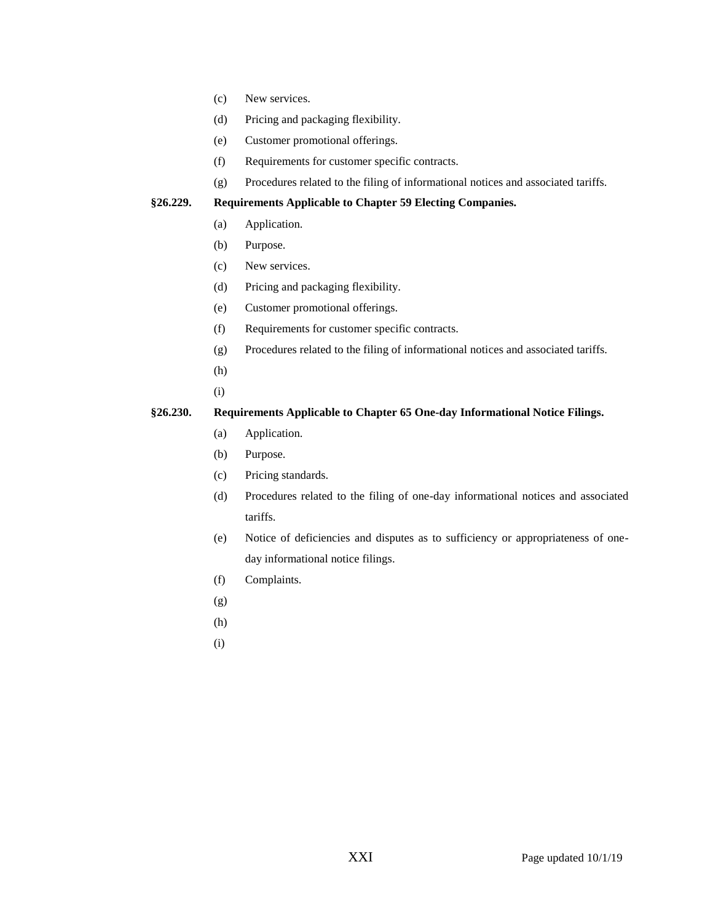- (c) New services.
- (d) Pricing and packaging flexibility.
- (e) Customer promotional offerings.
- (f) Requirements for customer specific contracts.
- (g) Procedures related to the filing of informational notices and associated tariffs.

#### **§26.229. Requirements Applicable to Chapter 59 Electing Companies.**

- (a) Application.
- (b) Purpose.
- (c) New services.
- (d) Pricing and packaging flexibility.
- (e) Customer promotional offerings.
- (f) Requirements for customer specific contracts.
- (g) Procedures related to the filing of informational notices and associated tariffs.
- (h)
- (i)

## **§26.230. Requirements Applicable to Chapter 65 One-day Informational Notice Filings.**

- (a) Application.
- (b) Purpose.
- (c) Pricing standards.
- (d) Procedures related to the filing of one-day informational notices and associated tariffs.
- (e) Notice of deficiencies and disputes as to sufficiency or appropriateness of oneday informational notice filings.
- (f) Complaints.
- (g)
- (h)
- (i)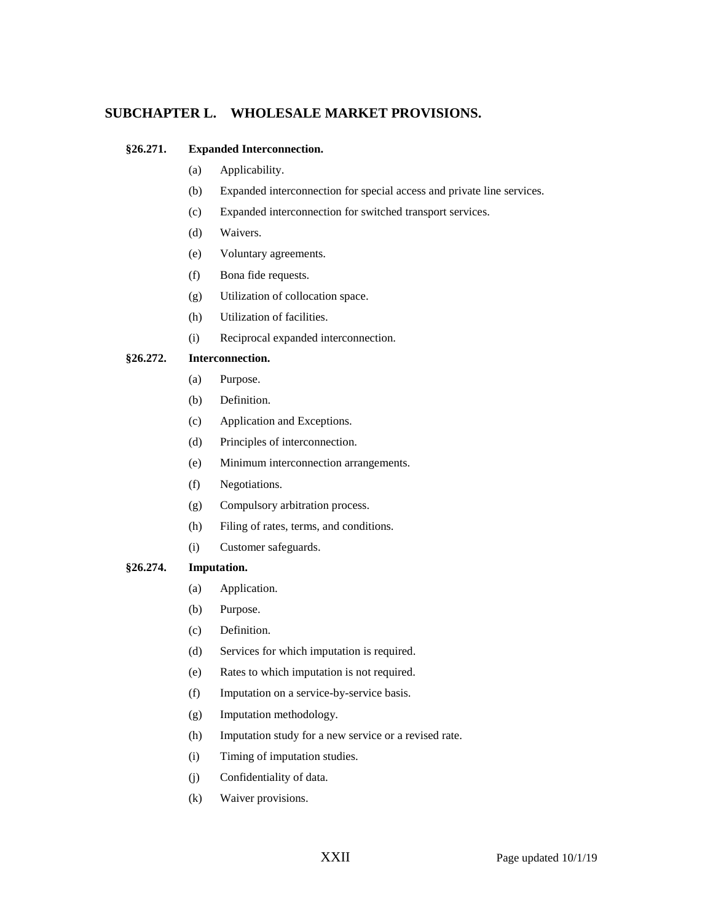# **SUBCHAPTER L. WHOLESALE MARKET PROVISIONS.**

## **§26.271. Expanded Interconnection.**

- (a) Applicability.
- (b) Expanded interconnection for special access and private line services.
- (c) Expanded interconnection for switched transport services.
- (d) Waivers.
- (e) Voluntary agreements.
- (f) Bona fide requests.
- (g) Utilization of collocation space.
- (h) Utilization of facilities.
- (i) Reciprocal expanded interconnection.

#### **§26.272. Interconnection.**

- (a) Purpose.
- (b) Definition.
- (c) Application and Exceptions.
- (d) Principles of interconnection.
- (e) Minimum interconnection arrangements.
- (f) Negotiations.
- (g) Compulsory arbitration process.
- (h) Filing of rates, terms, and conditions.
- (i) Customer safeguards.

#### **§26.274. Imputation.**

- (a) Application.
- (b) Purpose.
- (c) Definition.
- (d) Services for which imputation is required.
- (e) Rates to which imputation is not required.
- (f) Imputation on a service-by-service basis.
- (g) Imputation methodology.
- (h) Imputation study for a new service or a revised rate.
- (i) Timing of imputation studies.
- (j) Confidentiality of data.
- (k) Waiver provisions.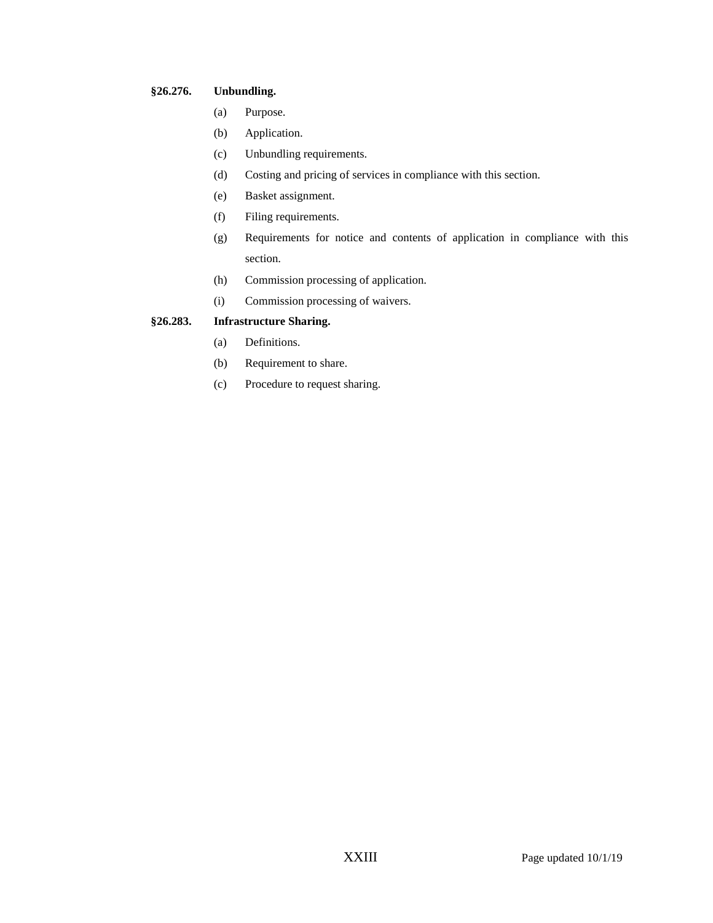## **§26.276. Unbundling.**

- (a) Purpose.
- (b) Application.
- (c) Unbundling requirements.
- (d) Costing and pricing of services in compliance with this section.
- (e) Basket assignment.
- (f) Filing requirements.
- (g) Requirements for notice and contents of application in compliance with this section.
- (h) Commission processing of application.
- (i) Commission processing of waivers.

# **§26.283. Infrastructure Sharing.**

- (a) Definitions.
- (b) Requirement to share.
- (c) Procedure to request sharing.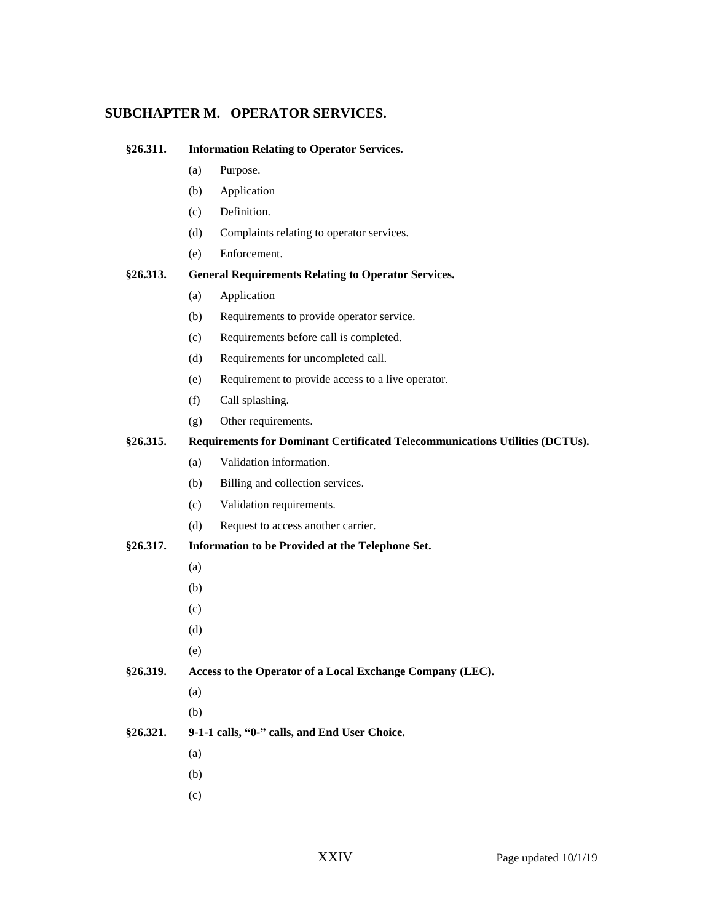# **SUBCHAPTER M. OPERATOR SERVICES.**

| §26.311. |                                                                              | <b>Information Relating to Operator Services.</b> |  |  |  |
|----------|------------------------------------------------------------------------------|---------------------------------------------------|--|--|--|
|          | (a)                                                                          | Purpose.                                          |  |  |  |
|          | (b)                                                                          | Application                                       |  |  |  |
|          | (c)                                                                          | Definition.                                       |  |  |  |
|          | (d)                                                                          | Complaints relating to operator services.         |  |  |  |
|          | (e)                                                                          | Enforcement.                                      |  |  |  |
| §26.313. | <b>General Requirements Relating to Operator Services.</b>                   |                                                   |  |  |  |
|          | (a)                                                                          | Application                                       |  |  |  |
|          | (b)                                                                          | Requirements to provide operator service.         |  |  |  |
|          | (c)                                                                          | Requirements before call is completed.            |  |  |  |
|          | (d)                                                                          | Requirements for uncompleted call.                |  |  |  |
|          | (e)                                                                          | Requirement to provide access to a live operator. |  |  |  |
|          | (f)                                                                          | Call splashing.                                   |  |  |  |
|          | (g)                                                                          | Other requirements.                               |  |  |  |
| §26.315. | Requirements for Dominant Certificated Telecommunications Utilities (DCTUs). |                                                   |  |  |  |
|          | (a)                                                                          | Validation information.                           |  |  |  |
|          | (b)                                                                          | Billing and collection services.                  |  |  |  |
|          | (c)                                                                          | Validation requirements.                          |  |  |  |
|          | (d)                                                                          | Request to access another carrier.                |  |  |  |
| §26.317. | Information to be Provided at the Telephone Set.                             |                                                   |  |  |  |
|          | (a)                                                                          |                                                   |  |  |  |
|          | (b)                                                                          |                                                   |  |  |  |
|          | (c)                                                                          |                                                   |  |  |  |
|          | (d)                                                                          |                                                   |  |  |  |
|          | (e)                                                                          |                                                   |  |  |  |
| §26.319. | Access to the Operator of a Local Exchange Company (LEC).                    |                                                   |  |  |  |
|          | (a)                                                                          |                                                   |  |  |  |
|          | (b)                                                                          |                                                   |  |  |  |
| §26.321. | 9-1-1 calls, "0-" calls, and End User Choice.                                |                                                   |  |  |  |
|          | (a)                                                                          |                                                   |  |  |  |
|          | (b)                                                                          |                                                   |  |  |  |

(c)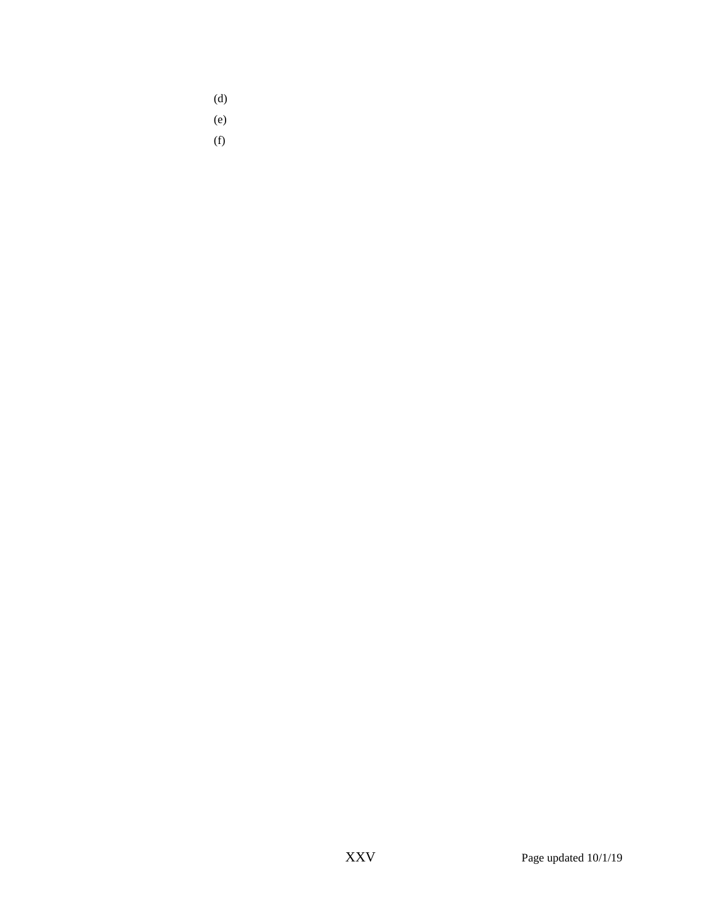- (d)
- (e)
- (f)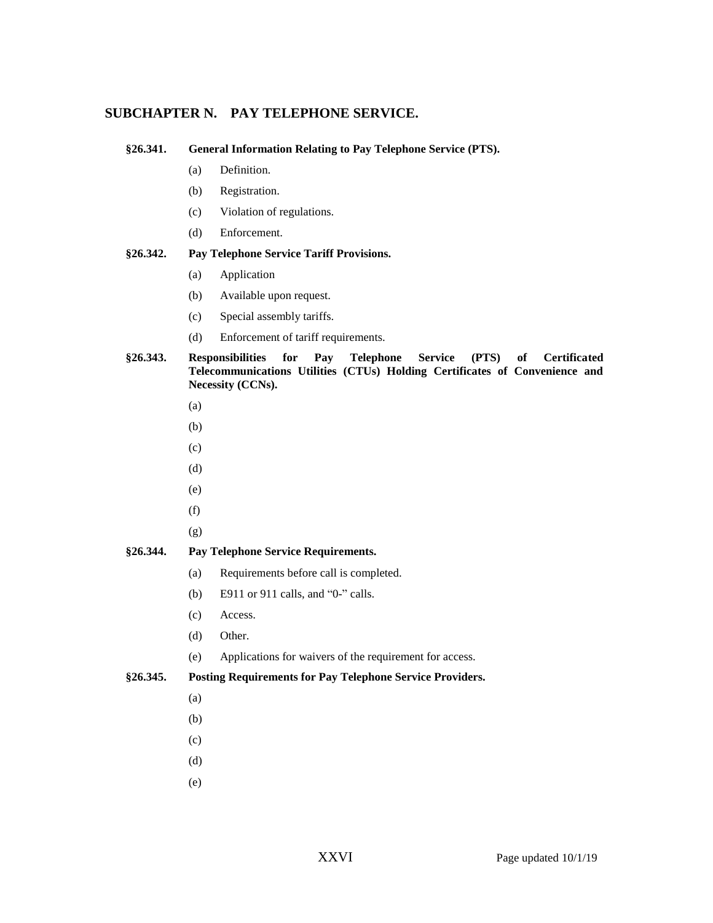# **SUBCHAPTER N. PAY TELEPHONE SERVICE.**

**§26.341. General Information Relating to Pay Telephone Service (PTS).**

- (a) Definition.
- (b) Registration.
- (c) Violation of regulations.
- (d) Enforcement.

#### **§26.342. Pay Telephone Service Tariff Provisions.**

- (a) Application
- (b) Available upon request.
- (c) Special assembly tariffs.
- (d) Enforcement of tariff requirements.

## **§26.343. Responsibilities for Pay Telephone Service (PTS) of Certificated Telecommunications Utilities (CTUs) Holding Certificates of Convenience and Necessity (CCNs).**

- (a)
- (b)
- (c)
- (d)
- (e)
- (f)
- (g)

## **§26.344. Pay Telephone Service Requirements.**

- (a) Requirements before call is completed.
- (b) E911 or 911 calls, and "0-" calls.
- (c) Access.
- (d) Other.
- (e) Applications for waivers of the requirement for access.

## **§26.345. Posting Requirements for Pay Telephone Service Providers.**

- (a)
- (b)
- (c)
- (d)
- (e)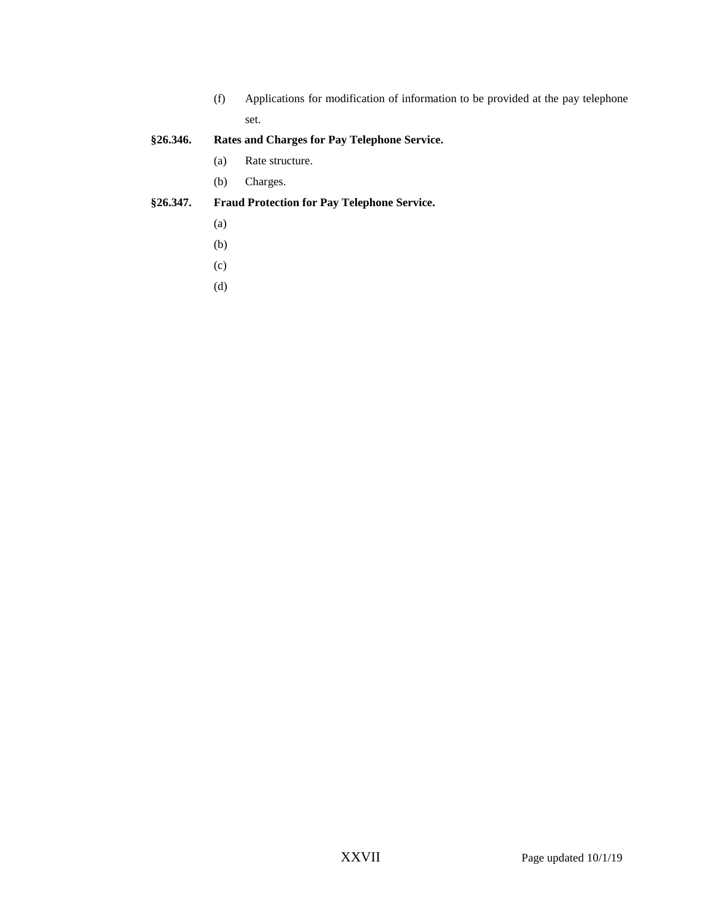(f) Applications for modification of information to be provided at the pay telephone set.

# **§26.346. Rates and Charges for Pay Telephone Service.**

- (a) Rate structure.
- (b) Charges.

# **§26.347. Fraud Protection for Pay Telephone Service.**

- (a)
- (b)
- (c)
- (d)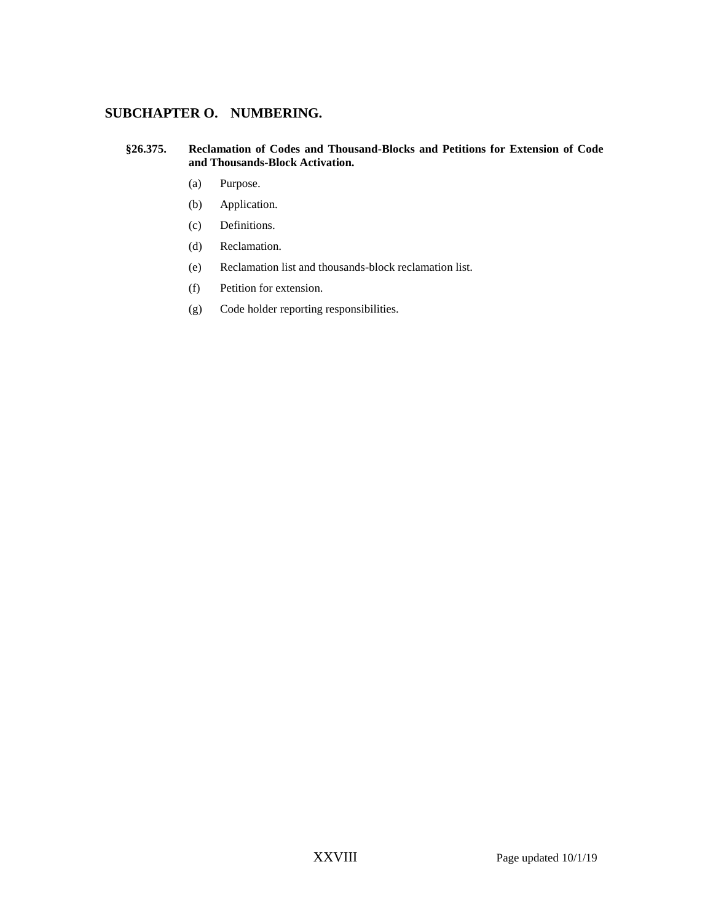# **SUBCHAPTER O. NUMBERING.**

#### **§26.375. Reclamation of Codes and Thousand-Blocks and Petitions for Extension of Code and Thousands-Block Activation.**

- (a) Purpose.
- (b) Application.
- (c) Definitions.
- (d) Reclamation.
- (e) Reclamation list and thousands-block reclamation list.
- (f) Petition for extension.
- (g) Code holder reporting responsibilities.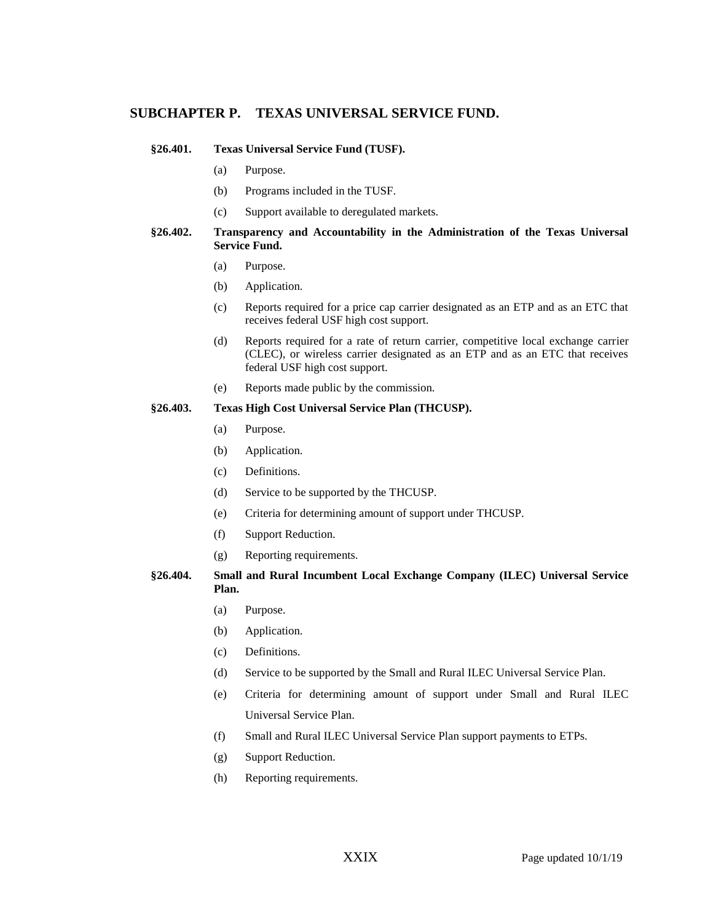## **SUBCHAPTER P. TEXAS UNIVERSAL SERVICE FUND.**

#### **§26.401. Texas Universal Service Fund (TUSF).**

- (a) Purpose.
- (b) Programs included in the TUSF.
- (c) Support available to deregulated markets.

## **§26.402. Transparency and Accountability in the Administration of the Texas Universal Service Fund.**

- (a) Purpose.
- (b) Application.
- (c) Reports required for a price cap carrier designated as an ETP and as an ETC that receives federal USF high cost support.
- (d) Reports required for a rate of return carrier, competitive local exchange carrier (CLEC), or wireless carrier designated as an ETP and as an ETC that receives federal USF high cost support.
- (e) Reports made public by the commission.

#### **§26.403. Texas High Cost Universal Service Plan (THCUSP).**

- (a) Purpose.
- (b) Application.
- (c) Definitions.
- (d) Service to be supported by the THCUSP.
- (e) Criteria for determining amount of support under THCUSP.
- (f) Support Reduction.
- (g) Reporting requirements.

**§26.404. Small and Rural Incumbent Local Exchange Company (ILEC) Universal Service Plan.**

- (a) Purpose.
- (b) Application.
- (c) Definitions.
- (d) Service to be supported by the Small and Rural ILEC Universal Service Plan.
- (e) Criteria for determining amount of support under Small and Rural ILEC Universal Service Plan.
- (f) Small and Rural ILEC Universal Service Plan support payments to ETPs.
- (g) Support Reduction.
- (h) Reporting requirements.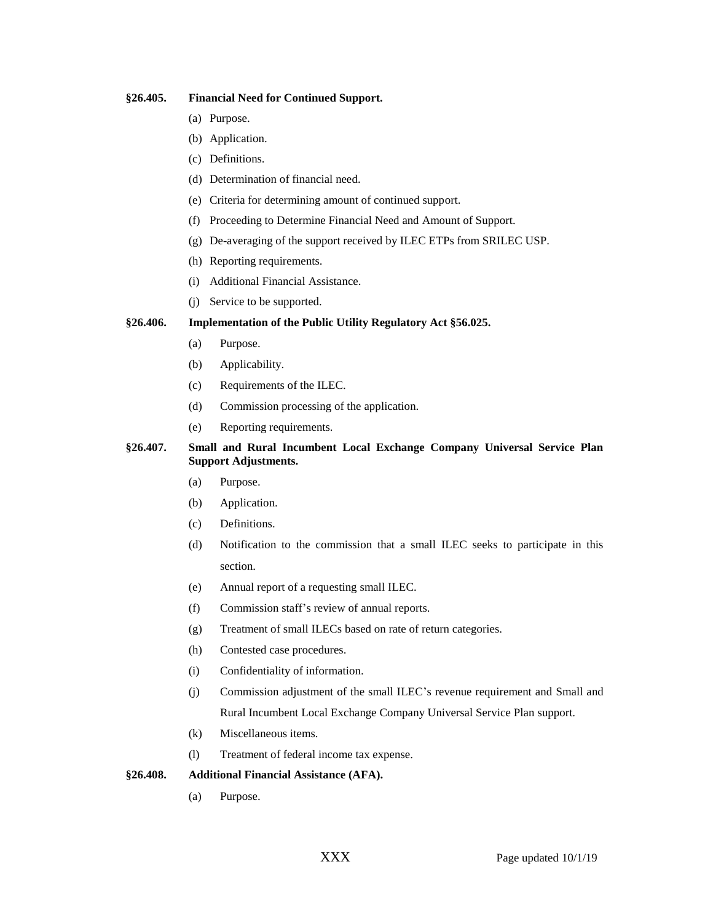#### **§26.405. Financial Need for Continued Support.**

- (a) Purpose.
- (b) Application.
- (c) Definitions.
- (d) Determination of financial need.
- (e) Criteria for determining amount of continued support.
- (f) Proceeding to Determine Financial Need and Amount of Support.
- (g) De-averaging of the support received by ILEC ETPs from SRILEC USP.
- (h) Reporting requirements.
- (i) Additional Financial Assistance.
- (j) Service to be supported.

## **§26.406. Implementation of the Public Utility Regulatory Act §56.025.**

- (a) Purpose.
- (b) Applicability.
- (c) Requirements of the ILEC.
- (d) Commission processing of the application.
- (e) Reporting requirements.

## **§26.407. Small and Rural Incumbent Local Exchange Company Universal Service Plan Support Adjustments.**

- (a) Purpose.
- (b) Application.
- (c) Definitions.
- (d) Notification to the commission that a small ILEC seeks to participate in this section.
- (e) Annual report of a requesting small ILEC.
- (f) Commission staff's review of annual reports.
- (g) Treatment of small ILECs based on rate of return categories.
- (h) Contested case procedures.
- (i) Confidentiality of information.
- (j) Commission adjustment of the small ILEC's revenue requirement and Small and Rural Incumbent Local Exchange Company Universal Service Plan support.
- (k) Miscellaneous items.
- (l) Treatment of federal income tax expense.

#### **§26.408. Additional Financial Assistance (AFA).**

(a) Purpose.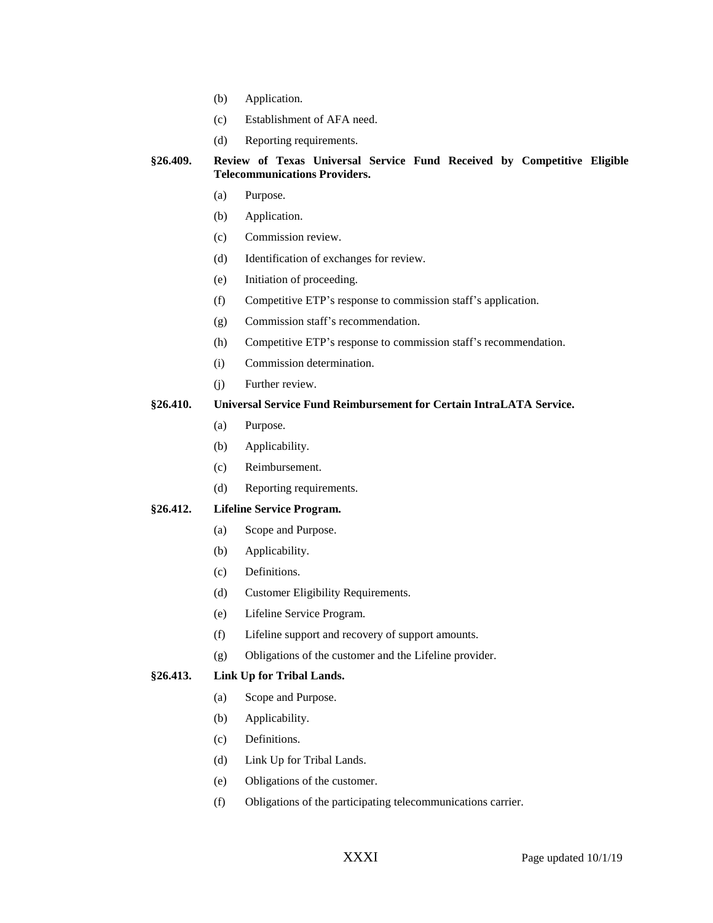- (b) Application.
- (c) Establishment of AFA need.
- (d) Reporting requirements.

**§26.409. Review of Texas Universal Service Fund Received by Competitive Eligible Telecommunications Providers.**

- (a) Purpose.
- (b) Application.
- (c) Commission review.
- (d) Identification of exchanges for review.
- (e) Initiation of proceeding.
- (f) Competitive ETP's response to commission staff's application.
- (g) Commission staff's recommendation.
- (h) Competitive ETP's response to commission staff's recommendation.
- (i) Commission determination.
- (j) Further review.

## **§26.410. Universal Service Fund Reimbursement for Certain IntraLATA Service.**

- (a) Purpose.
- (b) Applicability.
- (c) Reimbursement.
- (d) Reporting requirements.

## **§26.412. Lifeline Service Program.**

- (a) Scope and Purpose.
- (b) Applicability.
- (c) Definitions.
- (d) Customer Eligibility Requirements.
- (e) Lifeline Service Program.
- (f) Lifeline support and recovery of support amounts.
- (g) Obligations of the customer and the Lifeline provider.

## **§26.413. Link Up for Tribal Lands.**

- (a) Scope and Purpose.
- (b) Applicability.
- (c) Definitions.
- (d) Link Up for Tribal Lands.
- (e) Obligations of the customer.
- (f) Obligations of the participating telecommunications carrier.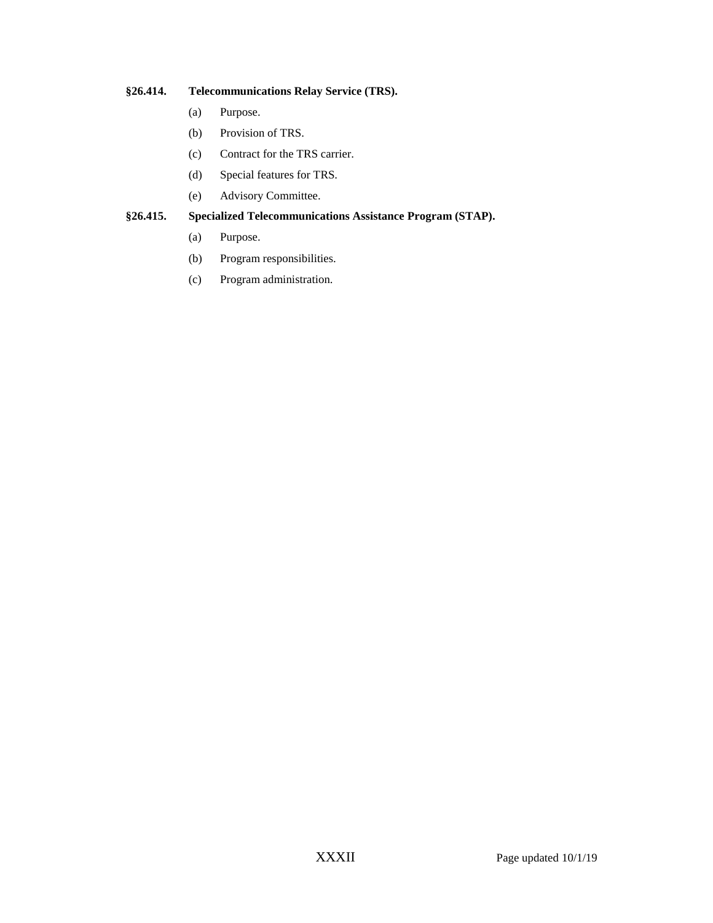# **§26.414. Telecommunications Relay Service (TRS).**

- (a) Purpose.
- (b) Provision of TRS.
- (c) Contract for the TRS carrier.
- (d) Special features for TRS.
- (e) Advisory Committee.

## **§26.415. Specialized Telecommunications Assistance Program (STAP).**

- (a) Purpose.
- (b) Program responsibilities.
- (c) Program administration.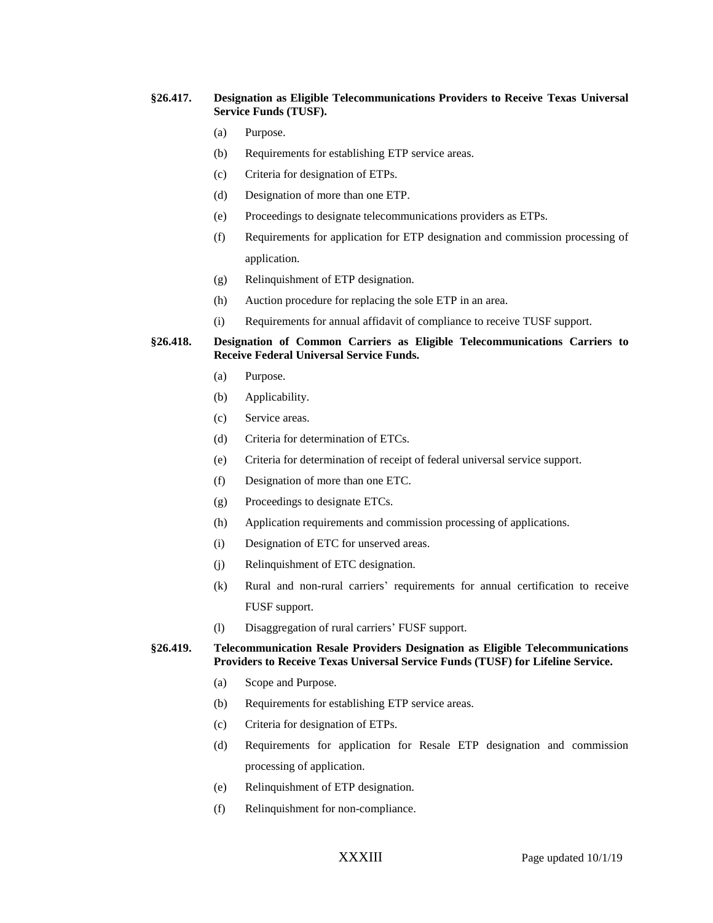#### **§26.417. Designation as Eligible Telecommunications Providers to Receive Texas Universal Service Funds (TUSF).**

- (a) Purpose.
- (b) Requirements for establishing ETP service areas.
- (c) Criteria for designation of ETPs.
- (d) Designation of more than one ETP.
- (e) Proceedings to designate telecommunications providers as ETPs.
- (f) Requirements for application for ETP designation and commission processing of application.
- (g) Relinquishment of ETP designation.
- (h) Auction procedure for replacing the sole ETP in an area.
- (i) Requirements for annual affidavit of compliance to receive TUSF support.

#### **§26.418. Designation of Common Carriers as Eligible Telecommunications Carriers to Receive Federal Universal Service Funds.**

- (a) Purpose.
- (b) Applicability.
- (c) Service areas.
- (d) Criteria for determination of ETCs.
- (e) Criteria for determination of receipt of federal universal service support.
- (f) Designation of more than one ETC.
- (g) Proceedings to designate ETCs.
- (h) Application requirements and commission processing of applications.
- (i) Designation of ETC for unserved areas.
- (j) Relinquishment of ETC designation.
- (k) Rural and non-rural carriers' requirements for annual certification to receive FUSF support.
- (l) Disaggregation of rural carriers' FUSF support.

**§26.419. Telecommunication Resale Providers Designation as Eligible Telecommunications Providers to Receive Texas Universal Service Funds (TUSF) for Lifeline Service.** 

- (a) Scope and Purpose.
- (b) Requirements for establishing ETP service areas.
- (c) Criteria for designation of ETPs.
- (d) Requirements for application for Resale ETP designation and commission processing of application.
- (e) Relinquishment of ETP designation.
- (f) Relinquishment for non-compliance.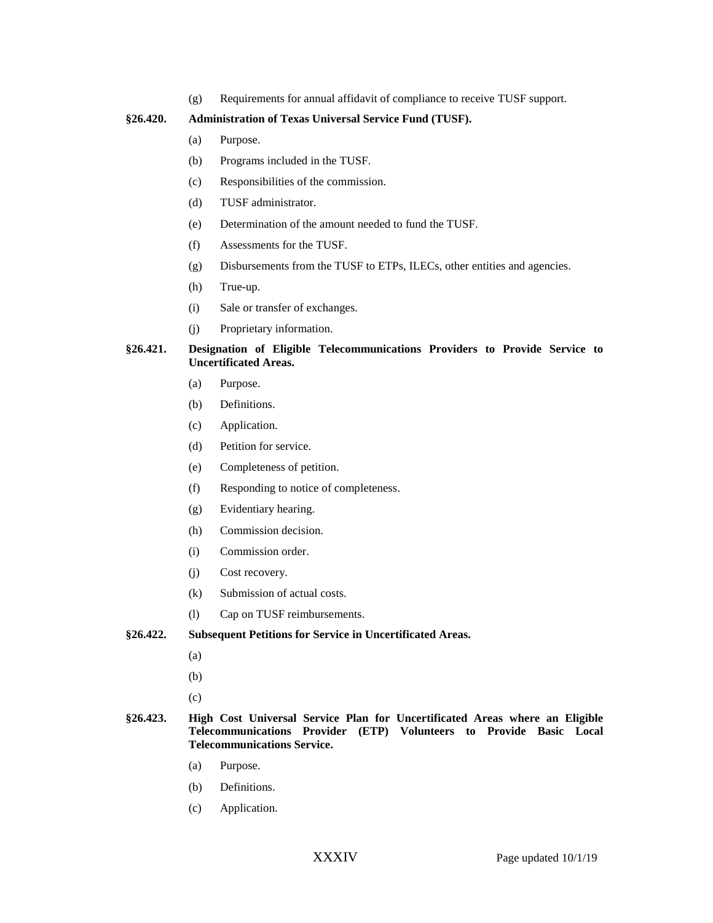(g) Requirements for annual affidavit of compliance to receive TUSF support.

#### **§26.420. Administration of Texas Universal Service Fund (TUSF).**

- (a) Purpose.
- (b) Programs included in the TUSF.
- (c) Responsibilities of the commission.
- (d) TUSF administrator.
- (e) Determination of the amount needed to fund the TUSF.
- (f) Assessments for the TUSF.
- (g) Disbursements from the TUSF to ETPs, ILECs, other entities and agencies.
- (h) True-up.
- (i) Sale or transfer of exchanges.
- (j) Proprietary information.

## **§26.421. Designation of Eligible Telecommunications Providers to Provide Service to Uncertificated Areas.**

- (a) Purpose.
- (b) Definitions.
- (c) Application.
- (d) Petition for service.
- (e) Completeness of petition.
- (f) Responding to notice of completeness.
- (g) Evidentiary hearing.
- (h) Commission decision.
- (i) Commission order.
- (j) Cost recovery.
- (k) Submission of actual costs.
- (l) Cap on TUSF reimbursements.

## **§26.422. Subsequent Petitions for Service in Uncertificated Areas.**

- (a)
- (b)
- (c)
- **§26.423. High Cost Universal Service Plan for Uncertificated Areas where an Eligible Telecommunications Provider (ETP) Volunteers to Provide Basic Local Telecommunications Service.**
	- (a) Purpose.
	- (b) Definitions.
	- (c) Application.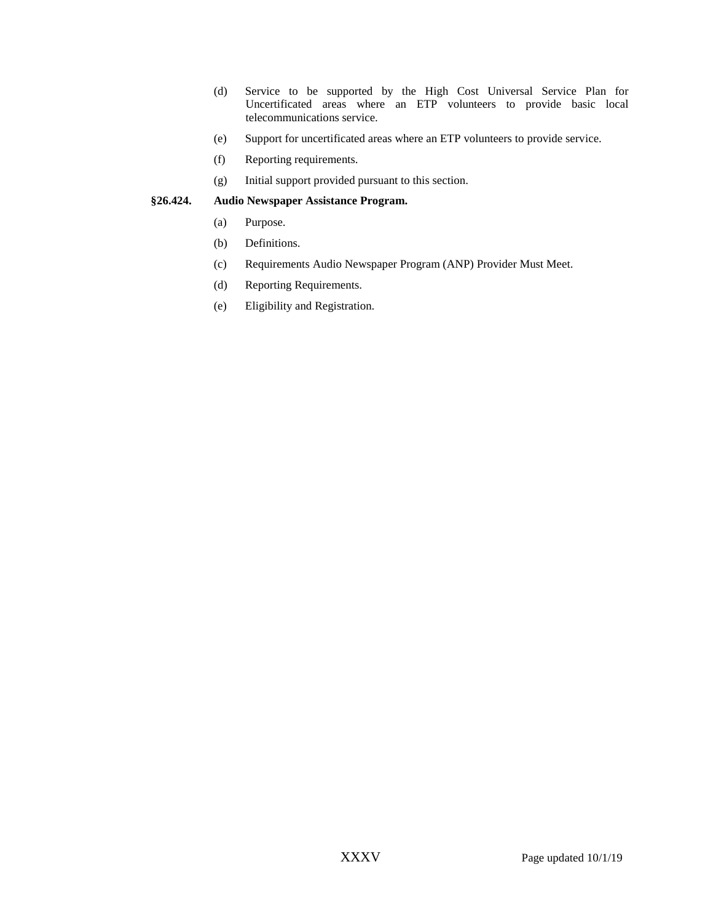- (d) Service to be supported by the High Cost Universal Service Plan for Uncertificated areas where an ETP volunteers to provide basic local telecommunications service.
- (e) Support for uncertificated areas where an ETP volunteers to provide service.
- (f) Reporting requirements.
- (g) Initial support provided pursuant to this section.

#### **§26.424. Audio Newspaper Assistance Program.**

- (a) Purpose.
- (b) Definitions.
- (c) Requirements Audio Newspaper Program (ANP) Provider Must Meet.
- (d) Reporting Requirements.
- (e) Eligibility and Registration.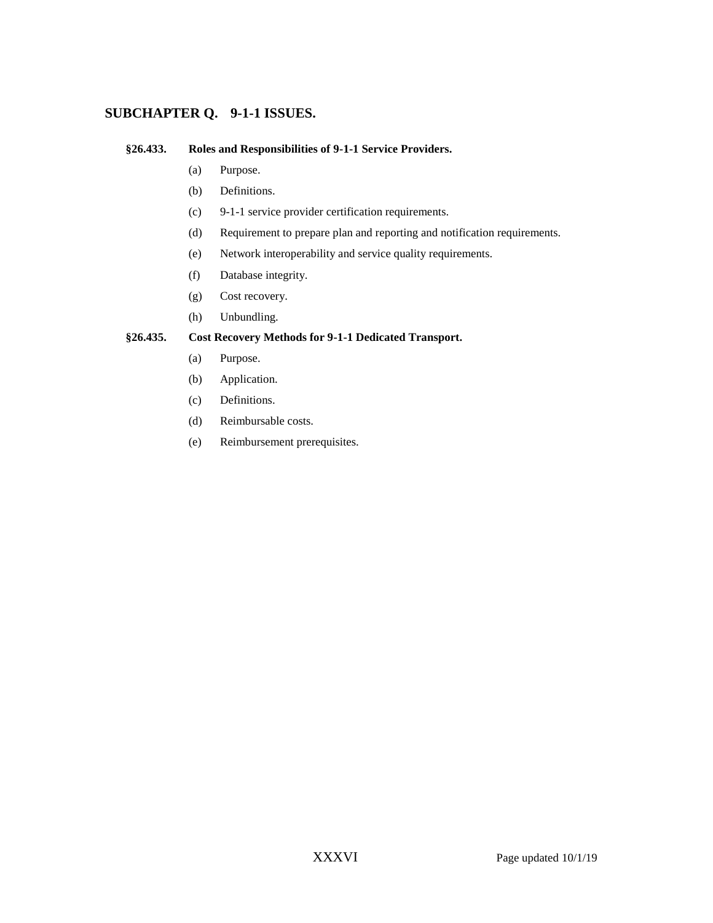# **SUBCHAPTER Q. 9-1-1 ISSUES.**

## **§26.433. Roles and Responsibilities of 9-1-1 Service Providers.**

- (a) Purpose.
- (b) Definitions.
- (c) 9-1-1 service provider certification requirements.
- (d) Requirement to prepare plan and reporting and notification requirements.
- (e) Network interoperability and service quality requirements.
- (f) Database integrity.
- (g) Cost recovery.
- (h) Unbundling.

## **§26.435. Cost Recovery Methods for 9-1-1 Dedicated Transport.**

- (a) Purpose.
- (b) Application.
- (c) Definitions.
- (d) Reimbursable costs.
- (e) Reimbursement prerequisites.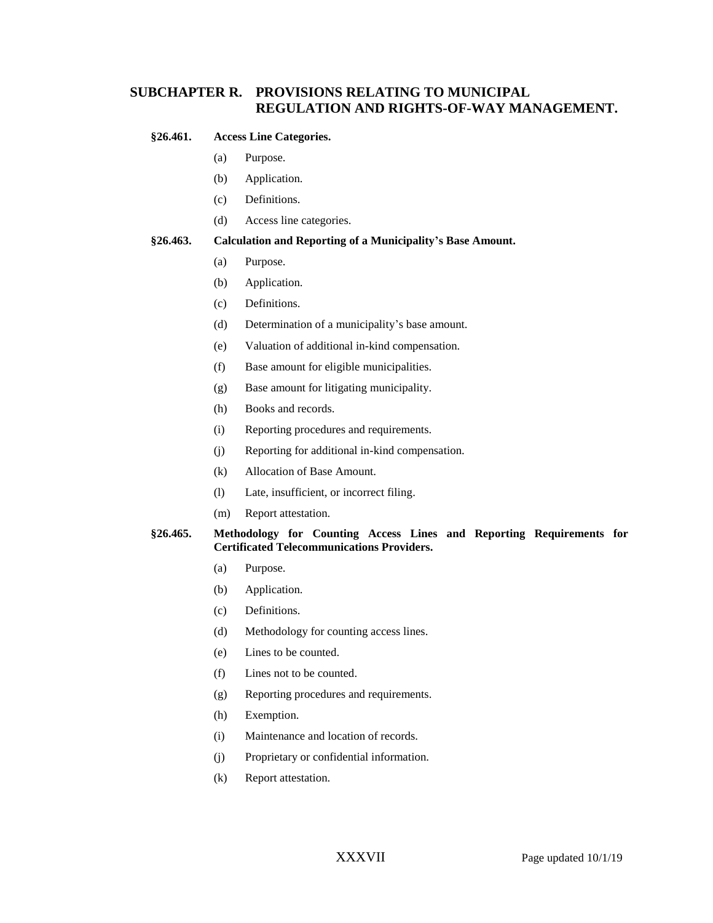# **SUBCHAPTER R. PROVISIONS RELATING TO MUNICIPAL REGULATION AND RIGHTS-OF-WAY MANAGEMENT.**

#### **§26.461. Access Line Categories.**

- (a) Purpose.
- (b) Application.
- (c) Definitions.
- (d) Access line categories.

#### **§26.463. Calculation and Reporting of a Municipality's Base Amount.**

- (a) Purpose.
- (b) Application.
- (c) Definitions.
- (d) Determination of a municipality's base amount.
- (e) Valuation of additional in-kind compensation.
- (f) Base amount for eligible municipalities.
- (g) Base amount for litigating municipality.
- (h) Books and records.
- (i) Reporting procedures and requirements.
- (j) Reporting for additional in-kind compensation.
- (k) Allocation of Base Amount.
- (l) Late, insufficient, or incorrect filing.
- (m) Report attestation.

## **§26.465. Methodology for Counting Access Lines and Reporting Requirements for Certificated Telecommunications Providers.**

- (a) Purpose.
- (b) Application.
- (c) Definitions.
- (d) Methodology for counting access lines.
- (e) Lines to be counted.
- (f) Lines not to be counted.
- (g) Reporting procedures and requirements.
- (h) Exemption.
- (i) Maintenance and location of records.
- (j) Proprietary or confidential information.
- (k) Report attestation.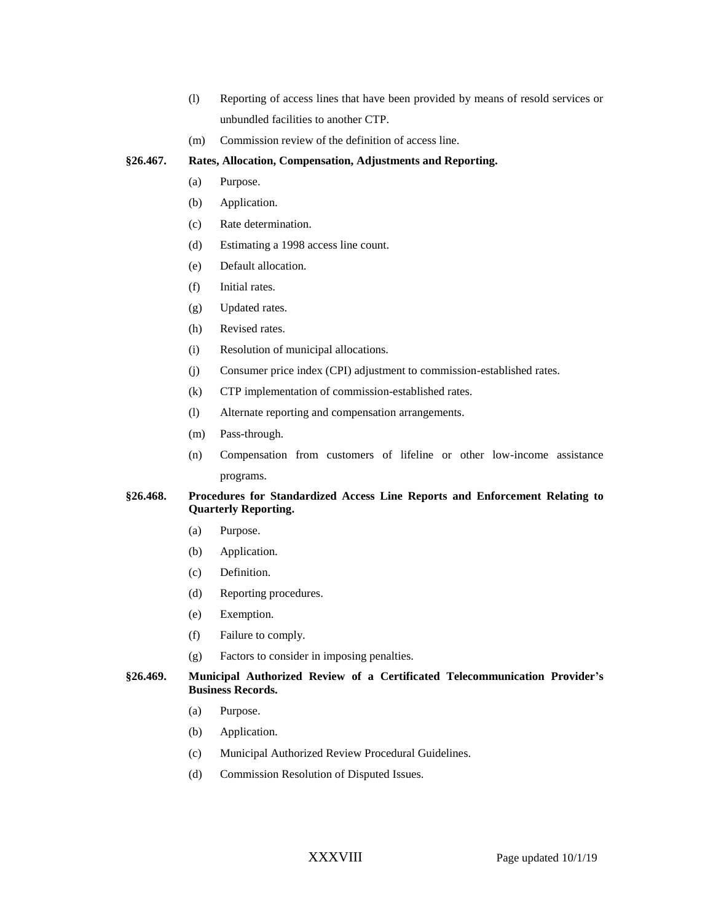- (l) Reporting of access lines that have been provided by means of resold services or unbundled facilities to another CTP.
- (m) Commission review of the definition of access line.

## **§26.467. Rates, Allocation, Compensation, Adjustments and Reporting.**

- (a) Purpose.
- (b) Application.
- (c) Rate determination.
- (d) Estimating a 1998 access line count.
- (e) Default allocation.
- (f) Initial rates.
- (g) Updated rates.
- (h) Revised rates.
- (i) Resolution of municipal allocations.
- (j) Consumer price index (CPI) adjustment to commission-established rates.
- (k) CTP implementation of commission-established rates.
- (l) Alternate reporting and compensation arrangements.
- (m) Pass-through.
- (n) Compensation from customers of lifeline or other low-income assistance programs.

## **§26.468. Procedures for Standardized Access Line Reports and Enforcement Relating to Quarterly Reporting.**

- (a) Purpose.
- (b) Application.
- (c) Definition.
- (d) Reporting procedures.
- (e) Exemption.
- (f) Failure to comply.
- (g) Factors to consider in imposing penalties.

#### **§26.469. Municipal Authorized Review of a Certificated Telecommunication Provider's Business Records.**

- (a) Purpose.
- (b) Application.
- (c) Municipal Authorized Review Procedural Guidelines.
- (d) Commission Resolution of Disputed Issues.